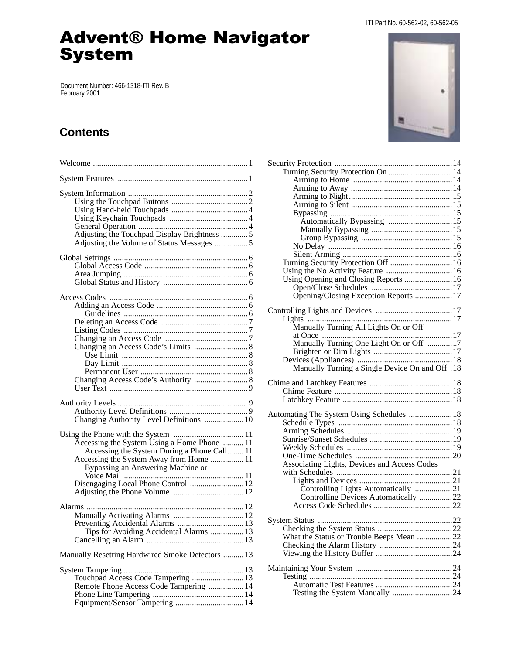#### ITI Part No. 60-562-02, 60-562-05

# **Advent® Home Navigator System**

Document Number: 466-1318-ITI Rev. B February 2001

## **Contents**

| Adjusting the Touchpad Display Brightness 5<br>Adjusting the Volume of Status Messages 5                                                                                                                          |
|-------------------------------------------------------------------------------------------------------------------------------------------------------------------------------------------------------------------|
|                                                                                                                                                                                                                   |
|                                                                                                                                                                                                                   |
| Changing Authority Level Definitions  10                                                                                                                                                                          |
| Accessing the System Using a Home Phone  11<br>Accessing the System During a Phone Call 11<br>Accessing the System Away from Home  11<br>Bypassing an Answering Machine or<br>Disengaging Local Phone Control  12 |
| Preventing Accidental Alarms  13<br>Tips for Avoiding Accidental Alarms  13                                                                                                                                       |
| Manually Resetting Hardwired Smoke Detectors  13                                                                                                                                                                  |
| Touchpad Access Code Tampering  13<br>Remote Phone Access Code Tampering  14<br>Equipment/Sensor Tampering  14                                                                                                    |



| Turning Security Protection On  14              |  |
|-------------------------------------------------|--|
|                                                 |  |
|                                                 |  |
|                                                 |  |
|                                                 |  |
|                                                 |  |
|                                                 |  |
|                                                 |  |
|                                                 |  |
|                                                 |  |
|                                                 |  |
| Turning Security Protection Off  16             |  |
|                                                 |  |
| Using Opening and Closing Reports  16           |  |
|                                                 |  |
| Opening/Closing Exception Reports  17           |  |
|                                                 |  |
|                                                 |  |
|                                                 |  |
| Manually Turning All Lights On or Off           |  |
|                                                 |  |
| Manually Turning One Light On or Off  17        |  |
|                                                 |  |
|                                                 |  |
| Manually Turning a Single Device On and Off .18 |  |
|                                                 |  |
|                                                 |  |
|                                                 |  |
|                                                 |  |
| Automating The System Using Schedules  18       |  |
|                                                 |  |
|                                                 |  |
|                                                 |  |
|                                                 |  |
|                                                 |  |
| Associating Lights, Devices and Access Codes    |  |
|                                                 |  |
|                                                 |  |
| Controlling Lights Automatically 21             |  |
| Controlling Devices Automatically 22            |  |
|                                                 |  |
|                                                 |  |
|                                                 |  |
|                                                 |  |
| What the Status or Trouble Beeps Mean 22        |  |
|                                                 |  |
|                                                 |  |
|                                                 |  |
|                                                 |  |
|                                                 |  |
|                                                 |  |
|                                                 |  |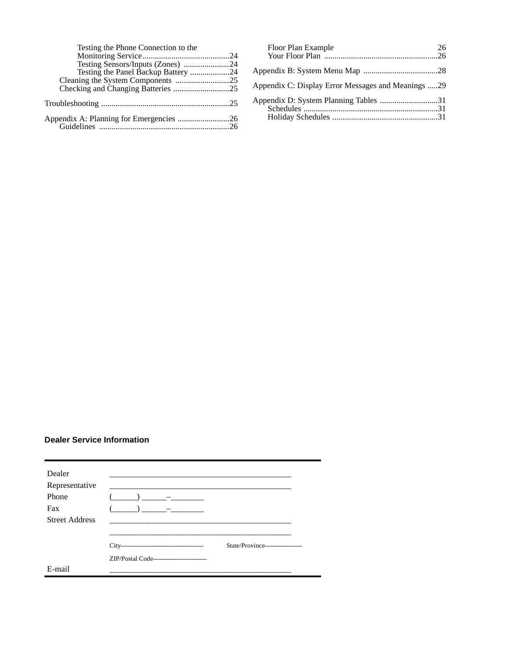| Testing the Phone Connection to the |  |
|-------------------------------------|--|
|                                     |  |
| Testing Sensors/Inputs (Zones) 24   |  |
|                                     |  |
|                                     |  |
|                                     |  |
|                                     |  |
|                                     |  |
|                                     |  |
|                                     |  |

| Floor Plan Example                                 | 26 |
|----------------------------------------------------|----|
|                                                    |    |
| Appendix C: Display Error Messages and Meanings 29 |    |
| Appendix D: System Planning Tables 31              |    |

### **Dealer Service Information**

| Dealer                |                                                                                                                               |                 |
|-----------------------|-------------------------------------------------------------------------------------------------------------------------------|-----------------|
| Representative        |                                                                                                                               |                 |
| Phone                 |                                                                                                                               |                 |
| Fax                   |                                                                                                                               |                 |
| <b>Street Address</b> |                                                                                                                               |                 |
|                       |                                                                                                                               |                 |
|                       | City-<br><u> 1980 - Johann Barbara, martin da kasar Amerikaan kasar dalam peringan dan berasal dalam peringan dan berasal</u> | State/Province- |
|                       |                                                                                                                               |                 |
| E-mail                |                                                                                                                               |                 |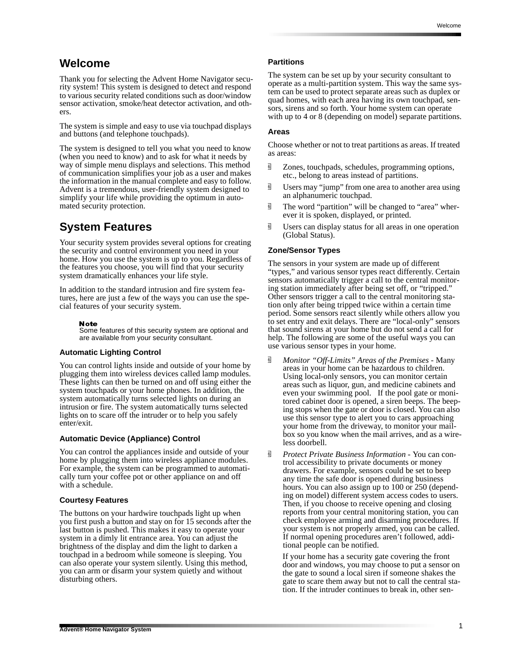## **Welcome**

Thank you for selecting the Advent Home Navigator security system! This system is designed to detect and respond to various security related conditions such as door/window sensor activation, smoke/heat detector activation, and others.

The system is simple and easy to use via touchpad displays and buttons (and telephone touchpads).

The system is designed to tell you what you need to know (when you need to know) and to ask for what it needs by way of simple menu displays and selections. This method of communication simplifies your job as a user and makes the information in the manual complete and easy to follow. Advent is a tremendous, user-friendly system designed to simplify your life while providing the optimum in automated security protection.

## **System Features**

Your security system provides several options for creating the security and control environment you need in your home. How you use the system is up to you. Regardless of the features you choose, you will find that your security system dramatically enhances your life style.

In addition to the standard intrusion and fire system features, here are just a few of the ways you can use the special features of your security system.

#### **Note**

Some features of this security system are optional and are available from your security consultant.

#### **Automatic Lighting Control**

You can control lights inside and outside of your home by plugging them into wireless devices called lamp modules. These lights can then be turned on and off using either the system touchpads or your home phones. In addition, the system automatically turns selected lights on during an intrusion or fire. The system automatically turns selected lights on to scare off the intruder or to help you safely enter/exit.

#### **Automatic Device (Appliance) Control**

You can control the appliances inside and outside of your home by plugging them into wireless appliance modules. For example, the system can be programmed to automatically turn your coffee pot or other appliance on and off with a schedule.

#### **Courtesy Features**

The buttons on your hardwire touchpads light up when you first push a button and stay on for 15 seconds after the last button is pushed. This makes it easy to operate your system in a dimly lit entrance area. You can adjust the brightness of the display and dim the light to darken a touchpad in a bedroom while someone is sleeping. You can also operate your system silently. Using this method, you can arm or disarm your system quietly and without disturbing others.

#### **Partitions**

The system can be set up by your security consultant to operate as a multi-partition system. This way the same system can be used to protect separate areas such as duplex or quad homes, with each area having its own touchpad, sensors, sirens and so forth. Your home system can operate with up to 4 or 8 (depending on model) separate partitions.

#### **Areas**

Choose whether or not to treat partitions as areas. If treated as areas:

- $\overline{9}$  Zones, touchpads, schedules, programming options, etc., belong to areas instead of partitions.
- **d** Users may "jump" from one area to another area using an alphanumeric touchpad.
- $\overline{9}$  The word "partition" will be changed to "area" wherever it is spoken, displayed, or printed.
- **d** Users can display status for all areas in one operation (Global Status).

#### **Zone/Sensor Types**

The sensors in your system are made up of different "types," and various sensor types react differently. Certain sensors automatically trigger a call to the central monitoring station immediately after being set off, or "tripped." Other sensors trigger a call to the central monitoring station only after being tripped twice within a certain time period. Some sensors react silently while others allow you to set entry and exit delays. There are "local-only" sensors that sound sirens at your home but do not send a call for help. The following are some of the useful ways you can use various sensor types in your home.

- q *Monitor "Off-Limits" Areas of the Premises* Many areas in your home can be hazardous to children. Using local-only sensors, you can monitor certain areas such as liquor, gun, and medicine cabinets and even your swimming pool. If the pool gate or monitored cabinet door is opened, a siren beeps. The beeping stops when the gate or door is closed. You can also use this sensor type to alert you to cars approaching your home from the driveway, to monitor your mailbox so you know when the mail arrives, and as a wireless doorbell.
- q *Protect Private Business Information* You can control accessibility to private documents or money drawers. For example, sensors could be set to beep any time the safe door is opened during business hours. You can also assign up to 100 or 250 (depending on model) different system access codes to users. Then, if you choose to receive opening and closing reports from your central monitoring station, you can check employee arming and disarming procedures. If your system is not properly armed, you can be called. If normal opening procedures aren't followed, additional people can be notified.

If your home has a security gate covering the front door and windows, you may choose to put a sensor on the gate to sound a local siren if someone shakes the gate to scare them away but not to call the central station. If the intruder continues to break in, other sen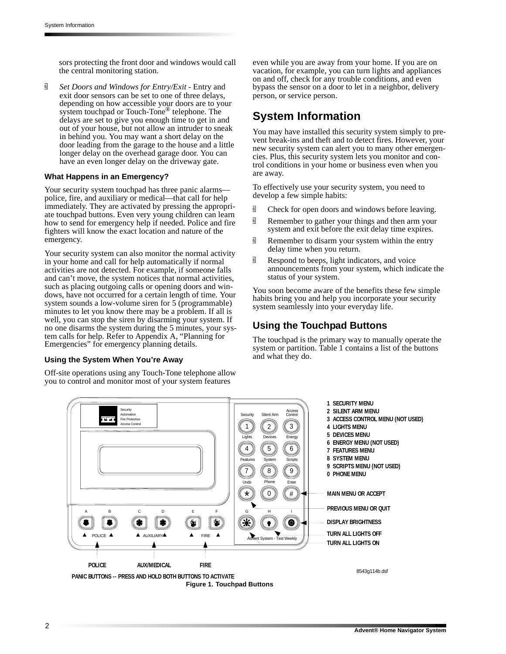sors protecting the front door and windows would call the central monitoring station.

q *Set Doors and Windows for Entry/Exit* - Entry and exit door sensors can be set to one of three delays, depending on how accessible your doors are to your system touchpad or Touch-Tone® telephone. The delays are set to give you enough time to get in and out of your house, but not allow an intruder to sneak in behind you. You may want a short delay on the door leading from the garage to the house and a little longer delay on the overhead garage door. You can have an even longer delay on the driveway gate.

#### **What Happens in an Emergency?**

Your security system touchpad has three panic alarms police, fire, and auxiliary or medical—that call for help immediately. They are activated by pressing the appropriate touchpad buttons. Even very young children can learn how to send for emergency help if needed. Police and fire fighters will know the exact location and nature of the emergency.

Your security system can also monitor the normal activity in your home and call for help automatically if normal activities are not detected. For example, if someone falls and can't move, the system notices that normal activities, such as placing outgoing calls or opening doors and windows, have not occurred for a certain length of time. Your system sounds a low-volume siren for 5 (programmable) minutes to let you know there may be a problem. If all is well, you can stop the siren by disarming your system. If no one disarms the system during the 5 minutes, your system calls for help. Refer to Appendix A, "Planning for Emergencies" for emergency planning details.

#### **Using the System When You're Away**

Off-site operations using any Touch-Tone telephone allow you to control and monitor most of your system features

even while you are away from your home. If you are on vacation, for example, you can turn lights and appliances on and off, check for any trouble conditions, and even bypass the sensor on a door to let in a neighbor, delivery person, or service person.

## **System Information**

You may have installed this security system simply to prevent break-ins and theft and to detect fires. However, your new security system can alert you to many other emergencies. Plus, this security system lets you monitor and control conditions in your home or business even when you are away.

To effectively use your security system, you need to develop a few simple habits:

- $\overline{9}$  Check for open doors and windows before leaving.
- $\overline{\mathbb{G}}$  Remember to gather your things and then arm your system and exit before the exit delay time expires.
- $\overline{\mathbb{B}}$  Remember to disarm your system within the entry delay time when you return.
- $\overline{\mathbb{B}}$  Respond to beeps, light indicators, and voice announcements from your system, which indicate the status of your system.

You soon become aware of the benefits these few simple habits bring you and help you incorporate your security system seamlessly into your everyday life.

### **Using the Touchpad Buttons**

The touchpad is the primary way to manually operate the system or partition. Table 1 contains a list of the buttons and what they do.

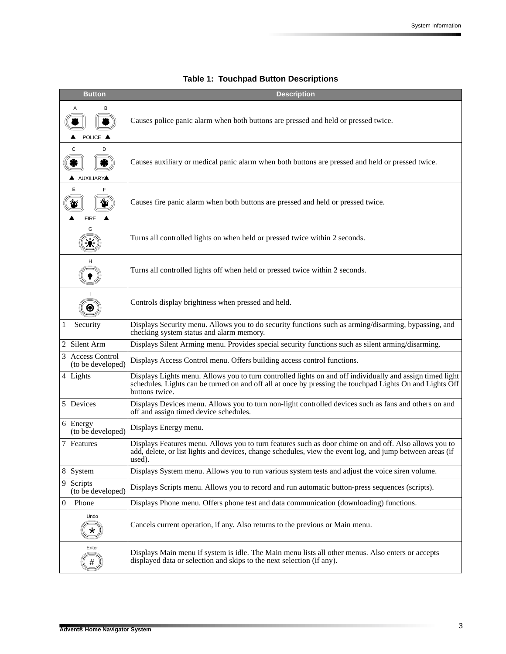| <b>Button</b>                         | <b>Description</b>                                                                                                                                                                                                                      |
|---------------------------------------|-----------------------------------------------------------------------------------------------------------------------------------------------------------------------------------------------------------------------------------------|
| А<br>В<br>POLICE A                    | Causes police panic alarm when both buttons are pressed and held or pressed twice.                                                                                                                                                      |
| C<br>D<br><b>AUXILIARY</b>            | Causes auxiliary or medical panic alarm when both buttons are pressed and held or pressed twice.                                                                                                                                        |
| F<br>E<br><b>FIRE</b>                 | Causes fire panic alarm when both buttons are pressed and held or pressed twice.                                                                                                                                                        |
| G                                     | Turns all controlled lights on when held or pressed twice within 2 seconds.                                                                                                                                                             |
|                                       | Turns all controlled lights off when held or pressed twice within 2 seconds.                                                                                                                                                            |
|                                       | Controls display brightness when pressed and held.                                                                                                                                                                                      |
| Security<br>1                         | Displays Security menu. Allows you to do security functions such as arming/disarming, bypassing, and<br>checking system status and alarm memory.                                                                                        |
| 2 Silent Arm                          | Displays Silent Arming menu. Provides special security functions such as silent arming/disarming.                                                                                                                                       |
| 3 Access Control<br>(to be developed) | Displays Access Control menu. Offers building access control functions.                                                                                                                                                                 |
| 4 Lights                              | Displays Lights menu. Allows you to turn controlled lights on and off individually and assign timed light<br>schedules. Lights can be turned on and off all at once by pressing the touchpad Lights On and Lights Off<br>buttons twice. |
| 5 Devices                             | Displays Devices menu. Allows you to turn non-light controlled devices such as fans and others on and<br>off and assign timed device schedules.                                                                                         |
| 6 Energy<br>(to be developed)         | Displays Energy menu.                                                                                                                                                                                                                   |
| 7 Features                            | Displays Features menu. Allows you to turn features such as door chime on and off. Also allows you to<br>add, delete, or list lights and devices, change schedules, view the event log, and jump between areas (if<br>used).            |
| 8 System                              | Displays System menu. Allows you to run various system tests and adjust the voice siren volume.                                                                                                                                         |
| 9 Scripts<br>(to be developed)        | Displays Scripts menu. Allows you to record and run automatic button-press sequences (scripts).                                                                                                                                         |
| Phone<br>0                            | Displays Phone menu. Offers phone test and data communication (downloading) functions.                                                                                                                                                  |
| Undo<br>$\star$                       | Cancels current operation, if any. Also returns to the previous or Main menu.                                                                                                                                                           |
| Enter<br>#                            | Displays Main menu if system is idle. The Main menu lists all other menus. Also enters or accepts<br>displayed data or selection and skips to the next selection (if any).                                                              |

## **Table 1: Touchpad Button Descriptions**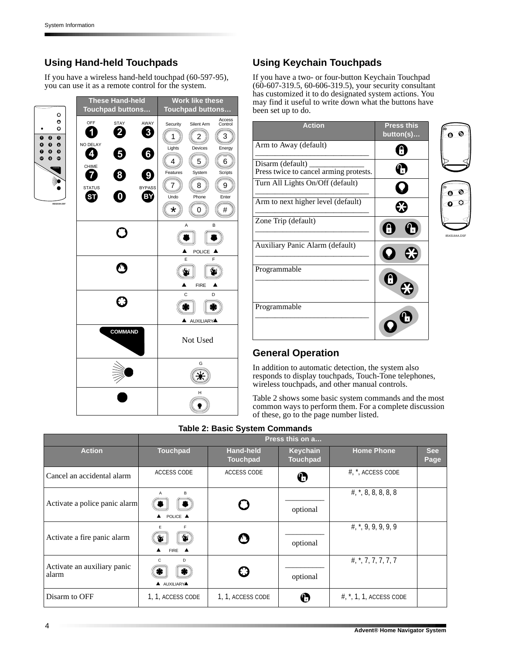## **Using Hand-held Touchpads**

If you have a wireless hand-held touchpad (60-597-95), you can use it as a remote control for the system.



## **Using Keychain Touchpads**

If you have a two- or four-button Keychain Touchpad (60-607-319.5, 60-606-319.5), your security consultant has customized it to do designated system actions. You may find it useful to write down what the buttons have been set up to do.

| <b>Action</b>                                              | <b>Press this</b><br>button(s) | O<br>0       |
|------------------------------------------------------------|--------------------------------|--------------|
| Arm to Away (default)                                      | B                              |              |
| Disarm (default)<br>Press twice to cancel arming protests. | 05                             |              |
| Turn All Lights On/Off (default)                           | $\check{\vee}$                 | ⋒            |
| Arm to next higher level (default)                         |                                | O            |
| Zone Trip (default)                                        |                                | 8543164A.DSF |
| Auxiliary Panic Alarm (default)                            |                                |              |
| Programmable                                               | Η                              |              |
| Programmable                                               |                                |              |

## **General Operation**

In addition to automatic detection, the system also responds to display touchpads, Touch-Tone telephones, wireless touchpads, and other manual controls.

Table 2 shows some basic system commands and the most common ways to perform them. For a complete discussion of these, go to the page number listed.

#### **Table 2: Basic System Commands**

|                                      | Press this on a                   |                                     |                                    |                                      |                    |
|--------------------------------------|-----------------------------------|-------------------------------------|------------------------------------|--------------------------------------|--------------------|
| <b>Action</b>                        | <b>Touchpad</b>                   | <b>Hand-held</b><br><b>Touchpad</b> | <b>Keychain</b><br><b>Touchpad</b> | <b>Home Phone</b>                    | <b>See</b><br>Page |
| Cancel an accidental alarm           | ACCESS CODE                       | <b>ACCESS CODE</b>                  | $\boldsymbol{\mathbb{O}}$          | $\#$ , $*$ , ACCESS CODE             |                    |
| Activate a police panic alarm        | в<br>Α<br>POLICE A                |                                     | optional                           | $\#$ , $*$ , 8, 8, 8, 8, 8           |                    |
| Activate a fire panic alarm          | F<br>E<br>₩<br>$FIRE$ $\triangle$ |                                     | optional                           | $\#$ , $*$ , 9, 9, 9, 9, 9           |                    |
| Activate an auxiliary panic<br>alarm | C<br>D<br><b>A</b> AUXILIARYA     |                                     | optional                           | $\#$ , $\frac{*}{4}$ , 7, 7, 7, 7, 7 |                    |
| Disarm to OFF                        | 1, 1, ACCESS CODE                 | 1, 1, ACCESS CODE                   | Ø                                  | $\#$ , $*$ , 1, 1, ACCESS CODE       |                    |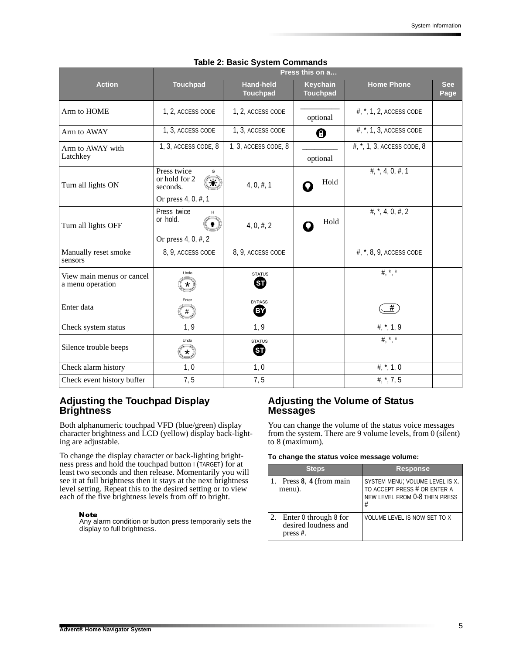|                                               | Press this on a                                                      |                                     |                             |                                                         |                    |
|-----------------------------------------------|----------------------------------------------------------------------|-------------------------------------|-----------------------------|---------------------------------------------------------|--------------------|
| <b>Action</b>                                 | <b>Touchpad</b>                                                      | <b>Hand-held</b><br><b>Touchpad</b> | Keychain<br><b>Touchpad</b> | <b>Home Phone</b>                                       | <b>See</b><br>Page |
| Arm to HOME                                   | 1, 2, ACCESS CODE                                                    | 1, 2, ACCESS CODE                   | optional                    | #, *, 1, 2, ACCESS CODE                                 |                    |
| Arm to AWAY                                   | 1, 3, ACCESS CODE                                                    | 1, 3, ACCESS CODE                   | $\boldsymbol{0}$            | $#,$ , 1, 3, ACCESS CODE                                |                    |
| Arm to AWAY with<br>Latchkey                  | 1, 3, ACCESS CODE, 8                                                 | 1, 3, ACCESS CODE, 8                | optional                    | #, *, 1, 3, ACCESS CODE, 8                              |                    |
| Turn all lights ON                            | Press twice<br>G<br>or hold for 2<br>seconds.<br>Or press 4, 0, #, 1 | $4, 0, \#$ , 1                      | Hold                        | $\#$ , $*$ , 4, 0, $\#$ , 1                             |                    |
| Turn all lights OFF                           | Press twice<br>or hold.<br>Or press 4, 0, #, 2                       | 4, 0, #, 2                          | Hold                        | $\#$ , $*$ , 4, 0, $\#$ , 2                             |                    |
| Manually reset smoke<br>sensors               | 8, 9, ACCESS CODE                                                    | 8, 9, ACCESS CODE                   |                             | #, *, 8, 9, ACCESS CODE                                 |                    |
| View main menus or cancel<br>a menu operation | Undo<br>¥                                                            | <b>STATUS</b><br>ጪ                  |                             | $\frac{1}{2}$ $\frac{1}{2}$ $\frac{1}{2}$ $\frac{1}{2}$ |                    |
| Enter data                                    | Enter                                                                | <b>BYPASS</b><br>(BY)               |                             | #                                                       |                    |
| Check system status                           | 1, 9                                                                 | 1, 9                                |                             | #, $*$ , 1, 9                                           |                    |
| Silence trouble beeps                         | Undo<br>$\star$                                                      | <b>STATUS</b><br>ᡦ                  |                             | $\frac{1}{2}$ $\frac{1}{2}$ $\frac{1}{2}$ $\frac{1}{2}$ |                    |
| Check alarm history                           | 1, 0                                                                 | 1, 0                                |                             | #, $*$ , 1, 0                                           |                    |
| Check event history buffer                    | 7, 5                                                                 | 7, 5                                |                             | #, $*$ , 7, 5                                           |                    |

#### **Table 2: Basic System Commands**

### **Adjusting the Touchpad Display Brightness**

Both alphanumeric touchpad VFD (blue/green) display character brightness and LCD (yellow) display back-lighting are adjustable.

To change the display character or back-lighting brightness press and hold the touchpad button I (TARGET) for at least two seconds and then release. Momentarily you will see it at full brightness then it stays at the next brightness level setting. Repeat this to the desired setting or to view each of the five brightness levels from off to bright.

#### Note

Any alarm condition or button press temporarily sets the display to full brightness.

### **Adjusting the Volume of Status Messages**

You can change the volume of the status voice messages from the system. There are 9 volume levels, from 0 (silent) to 8 (maximum).

#### **To change the status voice message volume:**

| <b>Steps</b>                                                 | <b>Response</b>                                                                                       |
|--------------------------------------------------------------|-------------------------------------------------------------------------------------------------------|
| Press 8, 4 (from main<br>menu).                              | SYSTEM MENU; VOLUME LEVEL IS X.<br>TO ACCEPT PRESS # OR ENTER A<br>NEW LEVEL FROM 0-8 THEN PRESS<br># |
| Enter 0 through 8 for<br>desired loudness and<br>press $#$ . | VOLUME LEVEL IS NOW SET TO X                                                                          |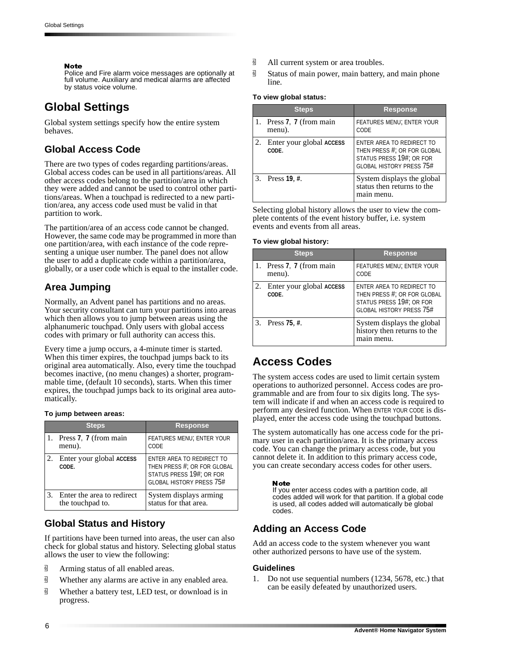#### **Note**

Police and Fire alarm voice messages are optionally at full volume. Auxiliary and medical alarms are affected by status voice volume.

## **Global Settings**

Global system settings specify how the entire system behaves.

## **Global Access Code**

There are two types of codes regarding partitions/areas. Global access codes can be used in all partitions/areas. All other access codes belong to the partition/area in which they were added and cannot be used to control other partitions/areas. When a touchpad is redirected to a new partition/area, any access code used must be valid in that partition to work.

The partition/area of an access code cannot be changed. However, the same code may be programmed in more than one partition/area, with each instance of the code representing a unique user number. The panel does not allow the user to add a duplicate code within a partition/area, globally, or a user code which is equal to the installer code.

## **Area Jumping**

Normally, an Advent panel has partitions and no areas. Your security consultant can turn your partitions into areas which then allows you to jump between areas using the alphanumeric touchpad. Only users with global access codes with primary or full authority can access this.

Every time a jump occurs, a 4-minute timer is started. When this timer expires, the touchpad jumps back to its original area automatically. Also, every time the touchpad becomes inactive, (no menu changes) a shorter, programmable time, (default 10 seconds), starts. When this timer expires, the touchpad jumps back to its original area automatically.

#### **To jump between areas:**

| <b>Steps</b>                                      | <b>Response</b>                                                                                                         |
|---------------------------------------------------|-------------------------------------------------------------------------------------------------------------------------|
| 1. Press 7, 7 (from main<br>menu).                | <b>FEATURES MENU; ENTER YOUR</b><br>CODE                                                                                |
| 2. Enter your global ACCESS<br>CODE.              | ENTER AREA TO REDIRECT TO<br>THEN PRESS #; OR FOR GLOBAL<br>STATUS PRESS 19#; OR FOR<br><b>GLOBAL HISTORY PRESS 75#</b> |
| 3. Enter the area to redirect<br>the touchpad to. | System displays arming<br>status for that area.                                                                         |

## **Global Status and History**

If partitions have been turned into areas, the user can also check for global status and history. Selecting global status allows the user to view the following:

- **d** Arming status of all enabled areas.
- $\overline{9}$  Whether any alarms are active in any enabled area.
- **d** Whether a battery test, LED test, or download is in progress.
- $\overline{9}$  All current system or area troubles.
- $\overline{\mathbb{B}}$  Status of main power, main battery, and main phone line.

#### **To view global status:**

| <b>Steps</b>                         | <b>Response</b>                                                                                                         |
|--------------------------------------|-------------------------------------------------------------------------------------------------------------------------|
| 1. Press 7, 7 (from main<br>menu).   | <b>FEATURES MENU; ENTER YOUR</b><br>CODE                                                                                |
| 2. Enter your global ACCESS<br>CODE. | ENTER AREA TO REDIRECT TO<br>THEN PRESS #; OR FOR GLOBAL<br>STATUS PRESS 19#; OR FOR<br><b>GLOBAL HISTORY PRESS 75#</b> |
| 3. Press 19, #.                      | System displays the global<br>status then returns to the<br>main menu.                                                  |

Selecting global history allows the user to view the complete contents of the event history buffer, i.e. system events and events from all areas.

#### **To view global history:**

| <b>Steps</b>                         | <b>Response</b>                                                                                                         |
|--------------------------------------|-------------------------------------------------------------------------------------------------------------------------|
| 1. Press 7, 7 (from main<br>menu).   | <b>FEATURES MENU; ENTER YOUR</b><br>CODE                                                                                |
| 2. Enter your global ACCESS<br>CODE. | ENTER AREA TO REDIRECT TO<br>THEN PRESS #; OR FOR GLOBAL<br>STATUS PRESS 19#; OR FOR<br><b>GLOBAL HISTORY PRESS 75#</b> |
| 3. Press 75, #.                      | System displays the global<br>history then returns to the<br>main menu.                                                 |

## **Access Codes**

The system access codes are used to limit certain system operations to authorized personnel. Access codes are programmable and are from four to six digits long. The system will indicate if and when an access code is required to perform any desired function. When ENTER YOUR CODE is displayed, enter the access code using the touchpad buttons.

The system automatically has one access code for the primary user in each partition/area. It is the primary access code. You can change the primary access code, but you cannot delete it. In addition to this primary access code, you can create secondary access codes for other users.

#### **Note**

If you enter access codes with a partition code, all codes added will work for that partition. If a global code is used, all codes added will automatically be global codes.

## **Adding an Access Code**

Add an access code to the system whenever you want other authorized persons to have use of the system.

#### **Guidelines**

1. Do not use sequential numbers (1234, 5678, etc.) that can be easily defeated by unauthorized users.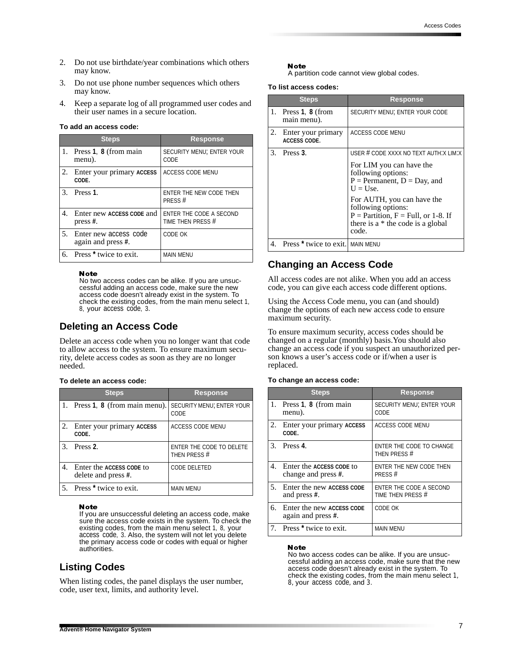- 2. Do not use birthdate/year combinations which others may know.
- 3. Do not use phone number sequences which others may know.
- 4. Keep a separate log of all programmed user codes and their user names in a secure location.

#### **To add an access code:**

|               | <b>Steps</b>                                | Response                                     |
|---------------|---------------------------------------------|----------------------------------------------|
|               | 1. Press $1, 8$ (from main<br>menu).        | SECURITY MENU; ENTER YOUR<br>CODE            |
| 2.            | Enter your primary ACCESS<br>CODE.          | <b>ACCESS CODE MENU</b>                      |
| $\mathcal{R}$ | Press <sub>1</sub>                          | ENTER THE NEW CODE THEN<br>PRESS#            |
| 4.            | Enter new ACCESS CODE and<br>press $#$ .    | ENTER THE CODE A SECOND<br>TIME THEN PRESS # |
| 5.            | Enter new access code<br>again and press #. | CODE OK                                      |
| 6.            | Press <sup>*</sup> twice to exit.           | <b>MAIN MENU</b>                             |

#### **Note**

No two access codes can be alike. If you are unsuccessful adding an access code, make sure the new access code doesn't already exist in the system. To check the existing codes, from the main menu select 1, 8, your access code, 3.

### **Deleting an Access Code**

Delete an access code when you no longer want that code to allow access to the system. To ensure maximum security, delete access codes as soon as they are no longer needed.

#### **To delete an access code:**

|    | <b>Steps</b>                                       | <b>Response</b>                          |
|----|----------------------------------------------------|------------------------------------------|
|    | 1. Press 1, 8 (from main menu).                    | SECURITY MENU; ENTER YOUR<br>CODE        |
| 2. | Enter your primary ACCESS<br>CODE.                 | <b>ACCESS CODE MENU</b>                  |
|    | 3. Press 2.                                        | ENTER THE CODE TO DELETE<br>THEN PRESS # |
|    | 4. Enter the ACCESS CODE to<br>delete and press #. | CODE DELETED                             |
|    | 5. Press <sup>*</sup> twice to exit.               | <b>MAIN MENU</b>                         |

#### Note

If you are unsuccessful deleting an access code, make sure the access code exists in the system. To check the existing codes, from the main menu select 1, 8, your access code, 3. Also, the system will not let you delete the primary access code or codes with equal or higher authorities.

## **Listing Codes**

When listing codes, the panel displays the user number, code, user text, limits, and authority level.

#### Note

A partition code cannot view global codes.

#### **To list access codes:**

|    | <b>Steps</b>                                   | <b>Response</b>                                                                                                                             |
|----|------------------------------------------------|---------------------------------------------------------------------------------------------------------------------------------------------|
|    | 1. Press $1, 8$ (from<br>main menu).           | SECURITY MENU; ENTER YOUR CODE                                                                                                              |
| 2. | Enter your primary<br><b>ACCESS CODE.</b>      | <b>ACCESS CODE MENU</b>                                                                                                                     |
| 3. | Press 3.                                       | USER # CODE XXXX NO TEXT AUTH: X LIM: X                                                                                                     |
|    |                                                | For LIM you can have the<br>following options:<br>$P =$ Permanent, $D =$ Day, and<br>$U = Use.$                                             |
|    |                                                | For AUTH, you can have the<br>following options:<br>$P =$ Partition, $F =$ Full, or 1-8. If<br>there is a $*$ the code is a global<br>code. |
|    | 4. Press <sup>*</sup> twice to exit. MAIN MENU |                                                                                                                                             |

### **Changing an Access Code**

All access codes are not alike. When you add an access code, you can give each access code different options.

Using the Access Code menu, you can (and should) change the options of each new access code to ensure maximum security.

To ensure maximum security, access codes should be changed on a regular (monthly) basis.You should also change an access code if you suspect an unauthorized person knows a user's access code or if/when a user is replaced.

#### **To change an access code:**

|                | <b>Steps</b>                                    | <b>Response</b>                              |
|----------------|-------------------------------------------------|----------------------------------------------|
| 1.             | Press 1, 8 (from main<br>menu).                 | SECURITY MENU; ENTER YOUR<br>CODE            |
| 2.             | Enter your primary ACCESS<br>CODE.              | ACCESS CODE MENU                             |
| 3 <sub>1</sub> | Press <sub>4</sub>                              | ENTER THE CODE TO CHANGE<br>THEN PRESS #     |
| $4_{\cdot}$    | Enter the ACCESS CODE to<br>change and press #. | ENTER THE NEW CODE THEN<br>PRESS#            |
| 5.             | Enter the new ACCESS CODE<br>and press #.       | ENTER THE CODE A SECOND<br>TIME THEN PRESS # |
| 6.             | Enter the new ACCESS CODE<br>again and press #. | CODE OK                                      |
|                | 7. Press * twice to exit.                       | <b>MAIN MENU</b>                             |

#### **Note**

No two access codes can be alike. If you are unsuccessful adding an access code, make sure that the new access code doesn't already exist in the system. To check the existing codes, from the main menu select 1, 8, your access code, and 3.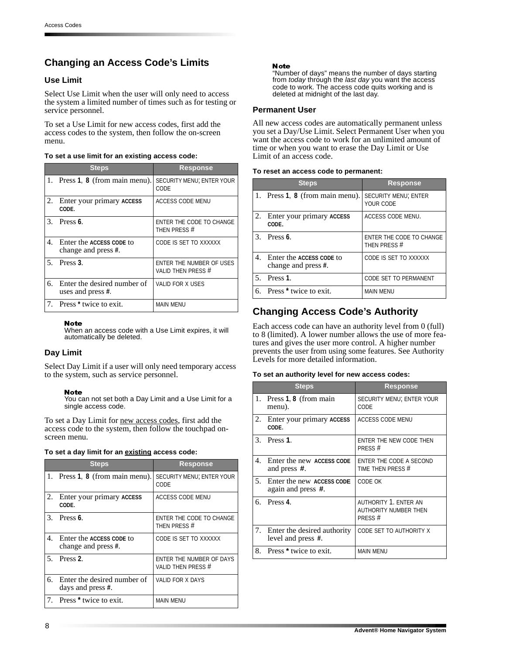## **Changing an Access Code's Limits**

### **Use Limit**

Select Use Limit when the user will only need to access the system a limited number of times such as for testing or service personnel.

To set a Use Limit for new access codes, first add the access codes to the system, then follow the on-screen menu.

#### **To set a use limit for an existing access code:**

|                                  | <b>Steps</b>                                     | Response                                       |
|----------------------------------|--------------------------------------------------|------------------------------------------------|
|                                  | 1. Press 1, 8 (from main menu).                  | <b>SECURITY MENU; ENTER YOUR</b><br>CODE       |
| 2.                               | Enter your primary ACCESS<br>CODE.               | <b>ACCESS CODE MENU</b>                        |
|                                  | $3.$ Press 6.                                    | ENTER THE CODE TO CHANGE<br>THEN PRESS #       |
| 4.                               | Enter the ACCESS CODE to<br>change and press #.  | CODE IS SET TO XXXXXX                          |
|                                  | $5.$ Press 3.                                    | ENTER THE NUMBER OF USES<br>VALID THEN PRESS # |
| б.                               | Enter the desired number of<br>uses and press #. | <b>VALID FOR X USES</b>                        |
| $7_{\scriptscriptstyle{\ddots}}$ | Press <sup>*</sup> twice to exit.                | <b>MAIN MENU</b>                               |

#### **Note**

When an access code with a Use Limit expires, it will automatically be deleted.

#### **Day Limit**

Select Day Limit if a user will only need temporary access to the system, such as service personnel.

#### Note

You can not set both a Day Limit and a Use Limit for a single access code.

To set a Day Limit for new access codes, first add the access code to the system, then follow the touchpad onscreen menu.

#### **To set a day limit for an existing access code:**

|         | <b>Steps</b>                                       | <b>Response</b>                                |
|---------|----------------------------------------------------|------------------------------------------------|
|         | 1. Press 1, 8 (from main menu).                    | SECURITY MENU; ENTER YOUR<br>CODE              |
| 2.      | Enter your primary ACCESS<br>CODE.                 | ACCESS CODE MENU                               |
| $3_{-}$ | Press 6.                                           | ENTER THE CODE TO CHANGE<br>THEN PRESS #       |
|         | 4. Enter the ACCESS CODE to<br>change and press #. | CODE IS SET TO XXXXXX                          |
|         | $5.$ Press 2.                                      | ENTER THE NUMBER OF DAYS<br>VALID THEN PRESS # |
| 6.      | Enter the desired number of<br>days and press #.   | <b>VALID FOR X DAYS</b>                        |
|         | 7. Press <sup>*</sup> twice to exit.               | <b>MAIN MENU</b>                               |

#### **Note**

"Number of days" means the number of days starting from today through the last day you want the access code to work. The access code quits working and is deleted at midnight of the last day.

#### **Permanent User**

All new access codes are automatically permanent unless you set a Day/Use Limit. Select Permanent User when you want the access code to work for an unlimited amount of time or when you want to erase the Day Limit or Use Limit of an access code.

#### **To reset an access code to permanent:**

|                | <b>Steps</b>                                          | <b>Response</b>                          |
|----------------|-------------------------------------------------------|------------------------------------------|
|                | 1. Press 1, 8 (from main menu).                       | <b>SECURITY MENU; ENTER</b><br>YOUR CODE |
| <sup>2</sup> . | Enter your primary ACCESS<br>CODE.                    | ACCESS CODE MENU.                        |
| 3.             | Press 6.                                              | ENTER THE CODE TO CHANGE<br>THEN PRESS # |
| 4 <sub>1</sub> | Enter the ACCESS CODE to<br>change and press #.       | CODE IS SET TO XXXXXX                    |
| 5 <sub>1</sub> | Press <sub>1</sub> .                                  | <b>CODE SET TO PERMANENT</b>             |
|                | 6. Press <sup><math>\star</math></sup> twice to exit. | <b>MAIN MENU</b>                         |

## **Changing Access Code's Authority**

Each access code can have an authority level from 0 (full) to 8 (limited). A lower number allows the use of more features and gives the user more control. A higher number prevents the user from using some features. See Authority Levels for more detailed information.

#### **To set an authority level for new access codes:**

|    | <b>Steps</b>                                         | <b>Response</b>                                                         |
|----|------------------------------------------------------|-------------------------------------------------------------------------|
|    | 1. Press 1, 8 (from main<br>menu).                   | SECURITY MENU; ENTER YOUR<br>CODE                                       |
| 2. | Enter your primary ACCESS<br>CODE.                   | <b>ACCESS CODE MENU</b>                                                 |
|    | $3.$ Press 1.                                        | ENTER THE NEW CODE THEN<br>PRESS #                                      |
| 4. | Enter the new ACCESS CODE<br>and press #.            | ENTER THE CODE A SECOND<br>TIME THEN PRESS #                            |
| 5. | Enter the new ACCESS CODE<br>again and press #.      | CODE OK                                                                 |
| б. | Press 4.                                             | <b>AUTHORITY 1. ENTER AN</b><br><b>AUTHORITY NUMBER THEN</b><br>PRESS # |
|    | 7. Enter the desired authority<br>level and press #. | CODE SET TO AUTHORITY X                                                 |
|    | 8. Press * twice to exit.                            | <b>MAIN MENU</b>                                                        |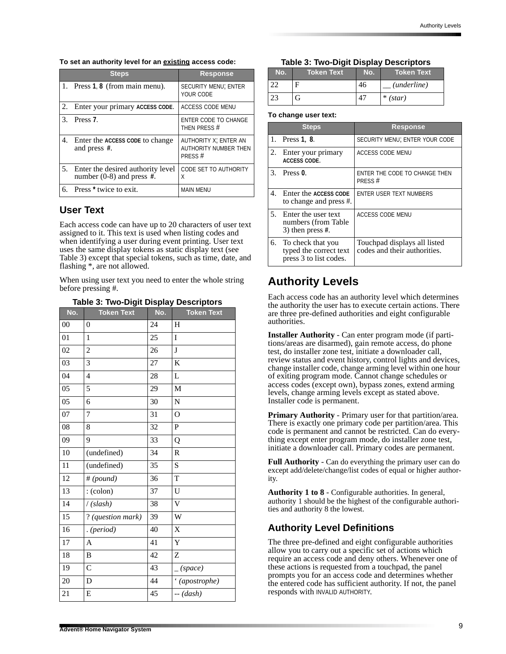#### **To set an authority level for an existing access code:**

|                             | <b>Steps</b>                                                        | <b>Response</b>                                                 |
|-----------------------------|---------------------------------------------------------------------|-----------------------------------------------------------------|
|                             | 1. Press $1, 8$ (from main menu).                                   | <b>SECURITY MENU; ENTER</b><br>YOUR CODE                        |
| 2.                          | Enter your primary ACCESS CODE.                                     | <b>ACCESS CODE MENU</b>                                         |
| $\mathcal{F}_{\mathcal{L}}$ | Press <sub>7</sub> .                                                | <b>ENTER CODE TO CHANGE</b><br>THEN PRESS #                     |
| 4.                          | Enter the ACCESS CODE to change<br>and press #.                     | AUTHORITY X; ENTER AN<br><b>AUTHORITY NUMBER THEN</b><br>PRESS# |
|                             | 5. Enter the desired authority level<br>number $(0-8)$ and press #. | <b>CODE SET TO AUTHORITY</b><br>Χ                               |
| б.                          | Press <sup>*</sup> twice to exit.                                   | <b>MAIN MENU</b>                                                |

## **User Text**

Each access code can have up to 20 characters of user text assigned to it. This text is used when listing codes and when identifying a user during event printing. User text uses the same display tokens as static display text (see Table 3) except that special tokens, such as time, date, and flashing \*, are not allowed.

When using user text you need to enter the whole string before pressing #.

**Table 3: Two-Digit Display Descriptors**

| No.    | ັ<br><b>Token Text</b> | л,<br><u>,</u><br>No. | <b>Token Text</b> |
|--------|------------------------|-----------------------|-------------------|
| $00\,$ | $\overline{0}$         | 24                    | Η                 |
| 01     | 1                      | 25                    | I                 |
| 02     | $\overline{c}$         | 26                    | J                 |
| 03     | 3                      | 27                    | $\bf K$           |
| 04     | $\overline{4}$         | 28                    | L                 |
| 05     | 5                      | 29                    | M                 |
| 05     | 6                      | 30                    | $\overline{N}$    |
| 07     | 7                      | 31                    | $\mathcal{O}$     |
| 08     | 8                      | 32                    | $\mathbf P$       |
| 09     | 9                      | 33                    | Q                 |
| 10     | (undefined)            | 34                    | R                 |
| 11     | (undefined)            | 35                    | S                 |
| 12     | # (pound)              | 36                    | T                 |
| 13     | $:(\text{colon})$      | 37                    | U                 |
| 14     | /(slash)               | 38                    | V                 |
| 15     | ? (question mark)      | 39                    | W                 |
| 16     | . (period)             | 40                    | X                 |
| 17     | A                      | 41                    | Y                 |
| 18     | B                      | 42                    | Z                 |
| 19     | $\mathsf{C}$           | 43                    | $_{-}$ (space)    |
| 20     | D                      | 44                    | '(apostrophe)     |
| 21     | E                      | 45                    | $-(dash)$         |

### **Table 3: Two-Digit Display Descriptors**

| No. | Token Text | No. | Token Text'          |
|-----|------------|-----|----------------------|
|     |            |     | ( <i>underline</i> ) |
|     |            |     | $*(star)$            |

#### **To change user text:**

|                | <b>Steps</b>                                                             | <b>Response</b>                                              |
|----------------|--------------------------------------------------------------------------|--------------------------------------------------------------|
|                | 1. Press 1, 8.                                                           | SECURITY MENU; ENTER YOUR CODE                               |
| 2.             | Enter your primary<br><b>ACCESS CODE.</b>                                | ACCESS CODE MENU                                             |
| 3.             | Press <sub>0</sub>                                                       | ENTER THE CODE TO CHANGE THEN<br>PRESS#                      |
| 4 <sub>1</sub> | Enter the ACCESS CODE<br>to change and press #.                          | ENTER USER TEXT NUMBERS                                      |
|                | 5. Enter the user text<br>numbers (from Table<br>3) then press $#$ .     | <b>ACCESS CODE MENU</b>                                      |
|                | 6. To check that you<br>typed the correct text<br>press 3 to list codes. | Touchpad displays all listed<br>codes and their authorities. |

## **Authority Levels**

Each access code has an authority level which determines the authority the user has to execute certain actions. There are three pre-defined authorities and eight configurable authorities.

**Installer Authority** - Can enter program mode (if partitions/areas are disarmed), gain remote access, do phone test, do installer zone test, initiate a downloader call, review status and event history, control lights and devices, change installer code, change arming level within one hour of exiting program mode. Cannot change schedules or access codes (except own), bypass zones, extend arming levels, change arming levels except as stated above. Installer code is permanent.

**Primary Authority** - Primary user for that partition/area. There is exactly one primary code per partition/area. This code is permanent and cannot be restricted. Can do everything except enter program mode, do installer zone test, initiate a downloader call. Primary codes are permanent.

**Full Authority** - Can do everything the primary user can do except add/delete/change/list codes of equal or higher authority.

**Authority 1 to 8** - Configurable authorities. In general, authority 1 should be the highest of the configurable authorities and authority 8 the lowest.

## **Authority Level Definitions**

The three pre-defined and eight configurable authorities allow you to carry out a specific set of actions which require an access code and deny others. Whenever one of these actions is requested from a touchpad, the panel prompts you for an access code and determines whether the entered code has sufficient authority. If not, the panel responds with INVALID AUTHORITY.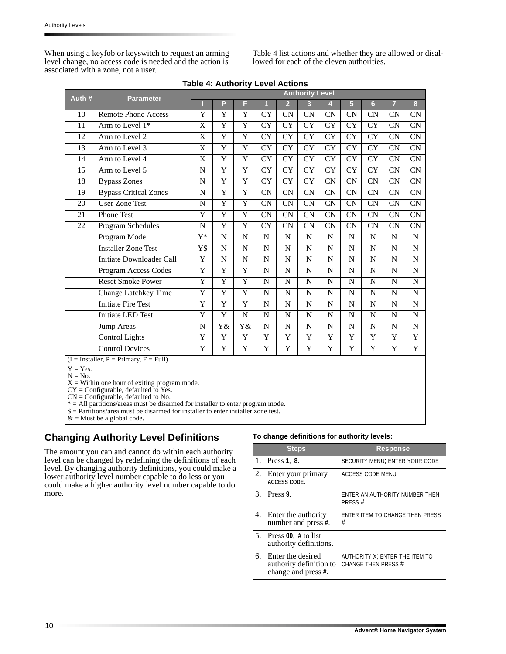When using a keyfob or keyswitch to request an arming level change, no access code is needed and the action is associated with a zone, not a user.

Table 4 list actions and whether they are allowed or disallowed for each of the eleven authorities.

| Auth #<br><b>Parameter</b> |                                               |                         | <b>Authority Level</b>  |                         |                         |                         |                        |                         |                         |                        |                        |                        |
|----------------------------|-----------------------------------------------|-------------------------|-------------------------|-------------------------|-------------------------|-------------------------|------------------------|-------------------------|-------------------------|------------------------|------------------------|------------------------|
|                            |                                               |                         | P                       | F                       | $\mathbf{1}$            | $\overline{2}$          | 3                      | 4                       | 5                       | 6                      | $\overline{7}$         | 8                      |
| 10                         | <b>Remote Phone Access</b>                    | Y                       | Y                       | Y                       | <b>CY</b>               | <b>CN</b>               | CN                     | CN                      | CN                      | CN                     | CN                     | CN                     |
| 11                         | Arm to Level $1*$                             | X                       | $\overline{Y}$          | $\overline{\mathrm{Y}}$ | $\overline{\rm CY}$     | $\overline{\rm CY}$     | $\overline{\rm CY}$    | $\overline{\rm CY}$     | CY                      | CY                     | CN                     | <b>CN</b>              |
| 12                         | Arm to Level 2                                | X                       | $\overline{\mathrm{Y}}$ | $\overline{\mathrm{Y}}$ | <b>CY</b>               | CY                      | CY                     | $\overline{\rm CY}$     | CY                      | <b>CY</b>              | $\overline{\text{CN}}$ | CN                     |
| 13                         | Arm to Level 3                                | X                       | $\overline{Y}$          | Y                       | <b>CY</b>               | <b>CY</b>               | <b>CY</b>              | <b>CY</b>               | <b>CY</b>               | <b>CY</b>              | CN                     | CN                     |
| 14                         | Arm to Level 4                                | X                       | Y                       | Y                       | <b>CY</b>               | CY                      | CY                     | <b>CY</b>               | <b>CY</b>               | <b>CY</b>              | $\overline{\text{CN}}$ | $\overline{\text{CN}}$ |
| 15                         | Arm to Level 5                                | N                       | $\overline{\mathrm{Y}}$ | Y                       | <b>CY</b>               | <b>CY</b>               | <b>CY</b>              | <b>CY</b>               | <b>CY</b>               | <b>CY</b>              | <b>CN</b>              | CN                     |
| 18                         | <b>Bypass Zones</b>                           | $\mathbf N$             | $\overline{Y}$          | $\overline{\text{Y}}$   | <b>CY</b>               | CY                      | CY                     | $\overline{\text{CN}}$  | $\overline{\text{CN}}$  | CN                     | $\overline{\text{CN}}$ | $\overline{\text{CN}}$ |
| 19                         | <b>Bypass Critical Zones</b>                  | $\mathbf N$             | $\overline{Y}$          | $\overline{Y}$          | CN                      | CN                      | $\overline{\text{CN}}$ | CN                      | CN                      | CN                     | CN                     | CN                     |
| 20                         | <b>User Zone Test</b>                         | $\mathbf N$             | $\overline{\mathrm{Y}}$ | $\overline{Y}$          | <b>CN</b>               | CN                      | $\overline{\text{CN}}$ | $\overline{\text{CN}}$  | CN                      | $\overline{\text{CN}}$ | $\overline{\text{CN}}$ | CN                     |
| 21                         | Phone Test                                    | Y                       | $\overline{Y}$          | Y                       | CN                      | CN                      | CN                     | CN                      | <b>CN</b>               | CN                     | CN                     | CN                     |
| 22                         | Program Schedules                             | N                       | Y                       | Y                       | <b>CY</b>               | <b>CN</b>               | CN                     | CN                      | <b>CN</b>               | CN                     | CN                     | CN                     |
|                            | Program Mode                                  | Y*                      | N                       | Ν                       | N                       | N                       | N                      | N                       | N                       | N                      | N                      | N                      |
|                            | <b>Installer Zone Test</b>                    | Y\$                     | $\overline{N}$          | $\mathbf N$             | $\overline{N}$          | $\overline{\rm N}$      | $\overline{\rm N}$     | $\overline{N}$          | $\mathbf N$             | $\mathbf N$            | N                      | N                      |
|                            | Initiate Downloader Call                      | $\overline{\mathrm{Y}}$ | ${\bf N}$               | ${\bf N}$               | $\mathbf N$             | ${\bf N}$               | $\mathbf N$            | N                       | $\mathbf N$             | ${\bf N}$              | $\mathbf N$            | ${\bf N}$              |
|                            | Program Access Codes                          | Y                       | $\overline{\mathrm{Y}}$ | Y                       | $\mathbf N$             | N                       | N                      | N                       | $\mathbf N$             | $\mathbf N$            | N                      | N                      |
|                            | <b>Reset Smoke Power</b>                      | $\overline{Y}$          | $\overline{Y}$          | $\overline{\text{Y}}$   | $\mathbf N$             | N                       | $\mathbf N$            | $\mathbf N$             | $\mathbf N$             | ${\bf N}$              | N                      | N                      |
|                            | <b>Change Latchkey Time</b>                   | Y                       | Y                       | Y                       | N                       | $\mathbf N$             | N                      | N                       | N                       | N                      | N                      | N                      |
|                            | <b>Initiate Fire Test</b>                     | Y                       | Y                       | Y                       | N                       | $\mathbf N$             | N                      | N                       | N                       | $\mathbf N$            | N                      | $\mathbf N$            |
|                            | <b>Initiate LED Test</b>                      | Y                       | Y                       | N                       | $\mathbf N$             | $\mathbf N$             | $\mathbf N$            | $\mathbf N$             | $\mathbf N$             | ${\bf N}$              | N                      | N                      |
|                            | Jump Areas                                    | $\mathbf N$             | Y&                      | Y&                      | $\mathbf N$             | ${\bf N}$               | $\mathbf N$            | $\mathbf N$             | $\mathbf N$             | ${\bf N}$              | $\mathbf N$            | $\mathbf N$            |
|                            | <b>Control Lights</b>                         | $\overline{\mathrm{Y}}$ | $\overline{\mathrm{Y}}$ | $\overline{\text{Y}}$   | $\overline{\mathrm{Y}}$ | $\overline{\mathrm{Y}}$ | Ÿ                      | $\overline{\mathrm{Y}}$ | $\overline{\mathrm{Y}}$ | $\overline{Y}$         | $\overline{Y}$         | Ÿ                      |
|                            | <b>Control Devices</b>                        | Y                       | $\overline{Y}$          | Y                       | $\overline{Y}$          | Y                       | $\overline{Y}$         | $\overline{Y}$          | Y                       | $\overline{Y}$         | Y                      | $\overline{Y}$         |
|                            | $(I = Institute, P = Primary, F = Full)$      |                         |                         |                         |                         |                         |                        |                         |                         |                        |                        |                        |
| $Y = Yes.$<br>$N = No.$    | $X -$ Within one hour of exiting program mode |                         |                         |                         |                         |                         |                        |                         |                         |                        |                        |                        |

**Table 4: Authority Level Actions**

 $X =$  Within one hour of exiting program mode.

CY = Configurable, defaulted to Yes.

CN = Configurable, defaulted to No.

\* = All partitions/areas must be disarmed for installer to enter program mode.

\$ = Partitions/area must be disarmed for installer to enter installer zone test.

 $&$  = Must be a global code.

### **Changing Authority Level Definitions**

The amount you can and cannot do within each authority level can be changed by redefining the definitions of each level. By changing authority definitions, you could make a lower authority level number capable to do less or you could make a higher authority level number capable to do more.

#### **To change definitions for authority levels:**

|    | <b>Steps</b>                                                           | <b>Response</b>                                       |
|----|------------------------------------------------------------------------|-------------------------------------------------------|
|    | 1. Press 1, 8.                                                         | SECURITY MENU; ENTER YOUR CODE                        |
| 2. | Enter your primary<br><b>ACCESS CODE.</b>                              | <b>ACCESS CODE MENU</b>                               |
|    | $3.$ Press 9.                                                          | ENTER AN AUTHORITY NUMBER THEN<br>PRESS#              |
|    | 4. Enter the authority<br>number and press #.                          | ENTER ITEM TO CHANGE THEN PRESS<br>#                  |
|    | 5. Press $00, #$ to list<br>authority definitions.                     |                                                       |
|    | 6. Enter the desired<br>authority definition to<br>change and press #. | AUTHORITY X; ENTER THE ITEM TO<br>CHANGE THEN PRESS # |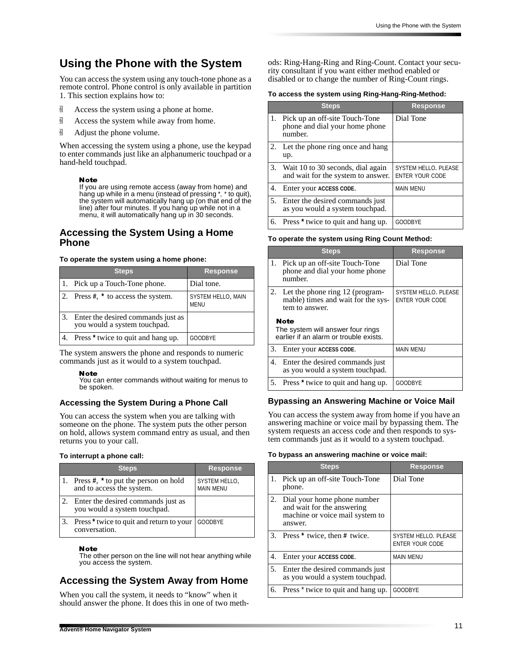## **Using the Phone with the System**

You can access the system using any touch-tone phone as a remote control. Phone control is only available in partition 1. This section explains how to:

- $\overline{9}$  Access the system using a phone at home.
- $\overline{9}$  Access the system while away from home.
- $\overline{6}$  Adjust the phone volume.

When accessing the system using a phone, use the keypad to enter commands just like an alphanumeric touchpad or a hand-held touchpad.

#### Note

If you are using remote access (away from home) and hang up while in a menu (instead of pressing \*, \* to quit), the system will automatically hang up (on that end of the line) after four minutes. If you hang up while not in a menu, it will automatically hang up in 30 seconds.

### **Accessing the System Using a Home Phone**

#### **To operate the system using a home phone:**

| <b>Steps</b>                                                       | <b>Response</b>                   |
|--------------------------------------------------------------------|-----------------------------------|
| 1. Pick up a Touch-Tone phone.                                     | Dial tone.                        |
| 2. Press $#$ , $*$ to access the system.                           | SYSTEM HELLO, MAIN<br><b>MENU</b> |
| Enter the desired commands just as<br>you would a system touchpad. |                                   |
| Press <sup>*</sup> twice to quit and hang up.                      | <b>GOODBYE</b>                    |

The system answers the phone and responds to numeric commands just as it would to a system touchpad.

#### **Note**

You can enter commands without waiting for menus to be spoken.

#### **Accessing the System During a Phone Call**

You can access the system when you are talking with someone on the phone. The system puts the other person on hold, allows system command entry as usual, and then returns you to your call.

#### **To interrupt a phone call:**

| <b>Steps</b>                                                               | <b>Response</b>                   |
|----------------------------------------------------------------------------|-----------------------------------|
| 1. Press $\#$ , $*$ to put the person on hold<br>and to access the system. | SYSTEM HELLO,<br><b>MAIN MENU</b> |
| Enter the desired commands just as<br>you would a system touchpad.         |                                   |
| Press <sup>*</sup> twice to quit and return to your<br>conversation.       | <b>GOODBYE</b>                    |

#### Note

The other person on the line will not hear anything while you access the system.

## **Accessing the System Away from Home**

When you call the system, it needs to "know" when it should answer the phone. It does this in one of two methods: Ring-Hang-Ring and Ring-Count. Contact your security consultant if you want either method enabled or disabled or to change the number of Ring-Count rings.

#### **To access the system using Ring-Hang-Ring-Method:**

|            | <b>Steps</b>                                                                | <b>Response</b>                                |
|------------|-----------------------------------------------------------------------------|------------------------------------------------|
| $\cdot$ 1. | Pick up an off-site Touch-Tone<br>phone and dial your home phone<br>number. | Dial Tone                                      |
| 2.         | Let the phone ring once and hang<br>up.                                     |                                                |
| 3.         | Wait 10 to 30 seconds, dial again<br>and wait for the system to answer.     | SYSTEM HELLO, PLEASE<br><b>ENTER YOUR CODE</b> |
| 4.         | Enter your ACCESS CODE.                                                     | <b>MAIN MENU</b>                               |
| 5.         | Enter the desired commands just<br>as you would a system touchpad.          |                                                |
| 6.         | Press * twice to quit and hang up.                                          | <b>GOODBYE</b>                                 |

#### **To operate the system using Ring Count Method:**

|    | <b>Steps</b>                                                                               | <b>Response</b>                                |
|----|--------------------------------------------------------------------------------------------|------------------------------------------------|
| 1. | Pick up an off-site Touch-Tone<br>phone and dial your home phone<br>number.                | Dial Tone                                      |
|    | 2. Let the phone ring 12 (program-<br>mable) times and wait for the sys-<br>tem to answer. | SYSTEM HELLO, PLEASE<br><b>ENTER YOUR CODE</b> |
|    | Note<br>The system will answer four rings<br>earlier if an alarm or trouble exists.        |                                                |
| 3. | Enter your ACCESS CODE.                                                                    | <b>MAIN MENU</b>                               |
|    | 4. Enter the desired commands just<br>as you would a system touchpad.                      |                                                |
| 5. | Press <sup>*</sup> twice to quit and hang up.                                              | <b>GOODBYE</b>                                 |

#### **Bypassing an Answering Machine or Voice Mail**

You can access the system away from home if you have an answering machine or voice mail by bypassing them. The system requests an access code and then responds to system commands just as it would to a system touchpad.

#### **To bypass an answering machine or voice mail:**

|    | <b>Steps</b>                                                                                            | <b>Response</b>                                |
|----|---------------------------------------------------------------------------------------------------------|------------------------------------------------|
|    | 1. Pick up an off-site Touch-Tone<br>phone.                                                             | Dial Tone                                      |
| 2. | Dial your home phone number<br>and wait for the answering<br>machine or voice mail system to<br>answer. |                                                |
|    | 3. Press $*$ twice, then $#$ twice.                                                                     | SYSTEM HELLO. PLEASE<br><b>ENTER YOUR CODE</b> |
| 4. | Enter your ACCESS CODE.                                                                                 | <b>MAIN MENU</b>                               |
| 5. | Enter the desired commands just<br>as you would a system touchpad.                                      |                                                |
| 6. | Press <sup>*</sup> twice to quit and hang up.                                                           | <b>GOODBYE</b>                                 |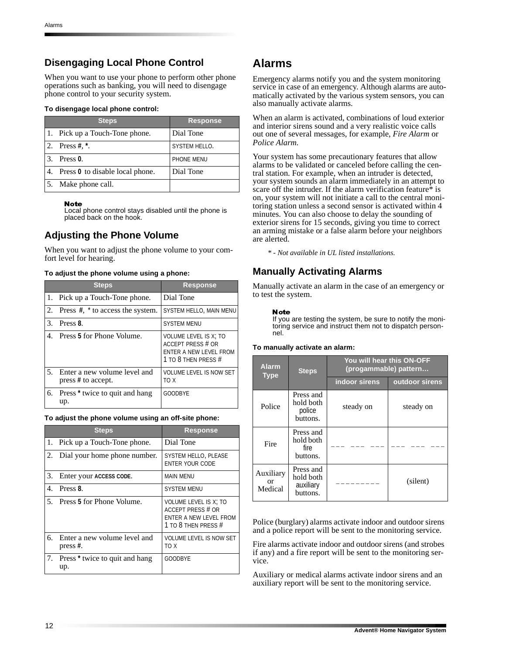## **Disengaging Local Phone Control**

When you want to use your phone to perform other phone operations such as banking, you will need to disengage phone control to your security system.

#### **To disengage local phone control:**

| <b>Steps</b>                       | <b>Response</b> |
|------------------------------------|-----------------|
| 1. Pick up a Touch-Tone phone.     | Dial Tone       |
| 2. Press #, $*$ .                  | SYSTEM HELLO.   |
| 3. Press 0.                        | PHONE MENU      |
| 4. Press 0 to disable local phone. | Dial Tone       |
| Make phone call.                   |                 |

#### **Note**

Local phone control stays disabled until the phone is placed back on the hook.

### **Adjusting the Phone Volume**

When you want to adjust the phone volume to your comfort level for hearing.

|  |  | To adjust the phone volume using a phone: |
|--|--|-------------------------------------------|
|--|--|-------------------------------------------|

|         | <b>Steps</b>                                          | <b>Response</b>                                                                                           |
|---------|-------------------------------------------------------|-----------------------------------------------------------------------------------------------------------|
|         | 1. Pick up a Touch-Tone phone.                        | Dial Tone                                                                                                 |
|         | 2. Press $\#$ , $*$ to access the system.             | SYSTEM HELLO, MAIN MENU                                                                                   |
| $3_{-}$ | Press 8.                                              | <b>SYSTEM MENU</b>                                                                                        |
| 4       | Press 5 for Phone Volume.                             | VOLUME LEVEL IS X; TO<br><b>ACCEPT PRESS # OR</b><br><b>ENTER A NEW LEVEL FROM</b><br>1 TO 8 THEN PRESS # |
|         | 5. Enter a new volume level and<br>press # to accept. | <b>VOLUME LEVEL IS NOW SET</b><br>TO X                                                                    |
|         | 6. Press <sup>*</sup> twice to quit and hang<br>up.   | <b>GOODBYE</b>                                                                                            |

#### **To adjust the phone volume using an off-site phone:**

|    | <b>Steps</b>                                     | <b>Response</b>                                                                             |
|----|--------------------------------------------------|---------------------------------------------------------------------------------------------|
|    | 1. Pick up a Touch-Tone phone.                   | Dial Tone                                                                                   |
| 2. | Dial your home phone number.                     | SYSTEM HELLO, PLEASE<br><b>ENTER YOUR CODE</b>                                              |
| 3. | Enter your ACCESS CODE.                          | <b>MAIN MENU</b>                                                                            |
| 4. | Press 8.                                         | <b>SYSTEM MENU</b>                                                                          |
|    | 5. Press 5 for Phone Volume.                     | VOLUME LEVEL IS X; TO<br>ACCEPT PRESS # OR<br>ENTER A NEW LEVEL FROM<br>1 TO 8 THEN PRESS # |
| б. | Enter a new volume level and<br>press $#$ .      | <b>VOLUME LEVEL IS NOW SET</b><br>X QT                                                      |
| 7. | Press <sup>*</sup> twice to quit and hang<br>up. | <b>GOODBYE</b>                                                                              |

## **Alarms**

Emergency alarms notify you and the system monitoring service in case of an emergency. Although alarms are automatically activated by the various system sensors, you can also manually activate alarms.

When an alarm is activated, combinations of loud exterior and interior sirens sound and a very realistic voice calls out one of several messages, for example, *Fire Alarm* or *Police Alarm*.

Your system has some precautionary features that allow alarms to be validated or canceled before calling the central station. For example, when an intruder is detected, your system sounds an alarm immediately in an attempt to scare off the intruder. If the alarm verification feature $*$  is on, your system will not initiate a call to the central monitoring station unless a second sensor is activated within 4 minutes. You can also choose to delay the sounding of exterior sirens for 15 seconds, giving you time to correct an arming mistake or a false alarm before your neighbors are alerted.

*\* - Not available in UL listed installations.*

### **Manually Activating Alarms**

Manually activate an alarm in the case of an emergency or to test the system.

#### **Note**

If you are testing the system, be sure to notify the monitoring service and instruct them not to dispatch personnel.

#### **To manually activate an alarm:**

| <b>Alarm</b><br><b>Type</b>           | <b>Steps</b>                                    | You will hear this ON-OFF<br>(progammable) pattern |                |  |
|---------------------------------------|-------------------------------------------------|----------------------------------------------------|----------------|--|
|                                       |                                                 | indoor sirens                                      | outdoor sirens |  |
| Police                                | Press and<br>hold both<br>police<br>buttons.    | steady on                                          | steady on      |  |
| Fire                                  | Press and<br>hold both<br>fire.<br>buttons.     |                                                    |                |  |
| Auxiliary<br><sub>or</sub><br>Medical | Press and<br>hold both<br>auxiliary<br>buttons. |                                                    | (silent)       |  |

Police (burglary) alarms activate indoor and outdoor sirens and a police report will be sent to the monitoring service.

Fire alarms activate indoor and outdoor sirens (and strobes if any) and a fire report will be sent to the monitoring service.

Auxiliary or medical alarms activate indoor sirens and an auxiliary report will be sent to the monitoring service.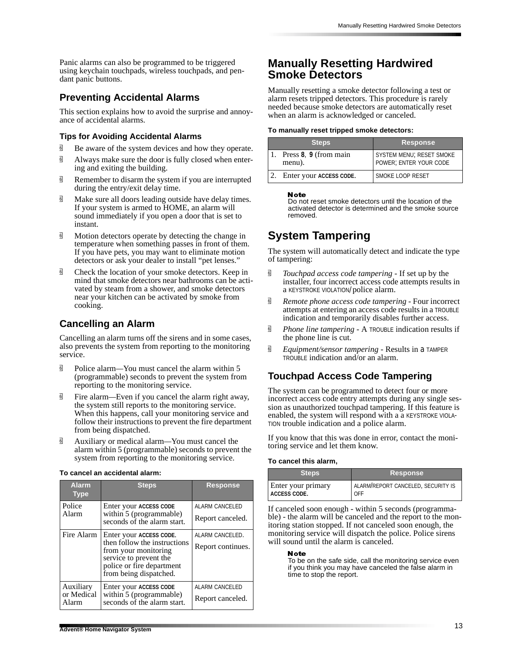Panic alarms can also be programmed to be triggered using keychain touchpads, wireless touchpads, and pendant panic buttons.

### **Preventing Accidental Alarms**

This section explains how to avoid the surprise and annoyance of accidental alarms.

#### **Tips for Avoiding Accidental Alarms**

- <sup> $\overline{6}$ </sup> Be aware of the system devices and how they operate.
- $\overline{\mathbb{G}}$  Always make sure the door is fully closed when entering and exiting the building.
- <sup>d</sup> Remember to disarm the system if you are interrupted during the entry/exit delay time.
- <sup>g</sup> Make sure all doors leading outside have delay times. If your system is armed to HOME, an alarm will sound immediately if you open a door that is set to instant.
- $\overline{\mathbb{G}}$  Motion detectors operate by detecting the change in temperature when something passes in front of them. If you have pets, you may want to eliminate motion detectors or ask your dealer to install "pet lenses."
- $\overline{\mathbb{G}}$  Check the location of your smoke detectors. Keep in mind that smoke detectors near bathrooms can be activated by steam from a shower, and smoke detectors near your kitchen can be activated by smoke from cooking.

## **Cancelling an Alarm**

Cancelling an alarm turns off the sirens and in some cases, also prevents the system from reporting to the monitoring service.

- **d** Police alarm—You must cancel the alarm within 5 (programmable) seconds to prevent the system from reporting to the monitoring service.
- q Fire alarm*—*Even if you cancel the alarm right away, the system still reports to the monitoring service. When this happens, call your monitoring service and follow their instructions to prevent the fire department from being dispatched.
- q Auxiliary or medical alarm*—*You must cancel the alarm within 5 (programmable) seconds to prevent the system from reporting to the monitoring service.

#### **To cancel an accidental alarm:**

| <b>Alarm</b><br><b>Type</b>      | <b>Steps</b>                                                                                                                                                     | <u>Re</u> sponse                          |
|----------------------------------|------------------------------------------------------------------------------------------------------------------------------------------------------------------|-------------------------------------------|
| Police<br>Alarm                  | Enter your ACCESS CODE<br>within 5 (programmable)<br>seconds of the alarm start.                                                                                 | <b>ALARM CANCELED</b><br>Report canceled. |
| Fire Alarm                       | Enter your ACCESS CODE.<br>then follow the instructions<br>from your monitoring<br>service to prevent the<br>police or fire department<br>from being dispatched. | ALARM CANCELED.<br>Report continues.      |
| Auxiliary<br>or Medical<br>Alarm | Enter your ACCESS CODE<br>within 5 (programmable)<br>seconds of the alarm start.                                                                                 | <b>ALARM CANCELED</b><br>Report canceled. |

## **Manually Resetting Hardwired Smoke Detectors**

Manually resetting a smoke detector following a test or alarm resets tripped detectors. This procedure is rarely needed because smoke detectors are automatically reset when an alarm is acknowledged or canceled.

#### **To manually reset tripped smoke detectors:**

| <b>Steps</b>                    | <b>Response</b>                                    |
|---------------------------------|----------------------------------------------------|
| Press 8, 9 (from main<br>menu). | SYSTEM MENU; RESET SMOKE<br>POWER; ENTER YOUR CODE |
| Enter your ACCESS CODE.         | SMOKE LOOP RESET                                   |

#### Note

Do not reset smoke detectors until the location of the activated detector is determined and the smoke source removed.

## **System Tampering**

The system will automatically detect and indicate the type of tampering:

- *I Touchpad access code tampering* If set up by the installer, four incorrect access code attempts results in a KEYSTROKE VIOLATION/police alarm.
- *B Remote phone access code tampering Four incorrect* attempts at entering an access code results in a TROUBLE indication and temporarily disables further access.
- *g Phone line tampering* A TROUBLE indication results if the phone line is cut.
- q *Equipment/sensor tampering* Results in a TAMPER TROUBLE indication and/or an alarm.

## **Touchpad Access Code Tampering**

The system can be programmed to detect four or more incorrect access code entry attempts during any single session as unauthorized touchpad tampering. If this feature is enabled, the system will respond with a a KEYSTROKE VIOLA-TION trouble indication and a police alarm.

If you know that this was done in error, contact the monitoring service and let them know.

#### **To cancel this alarm,**

| <b>Steps</b>       | <b>Response</b>                    |
|--------------------|------------------------------------|
| Enter your primary | ALARM/REPORT CANCELED, SECURITY IS |
| I ACCESS CODE.     | OFF                                |

If canceled soon enough - within 5 seconds (programmable) - the alarm will be canceled and the report to the monitoring station stopped. If not canceled soon enough, the monitoring service will dispatch the police. Police sirens will sound until the alarm is canceled.

#### Note

To be on the safe side, call the monitoring service even if you think you may have canceled the false alarm in time to stop the report.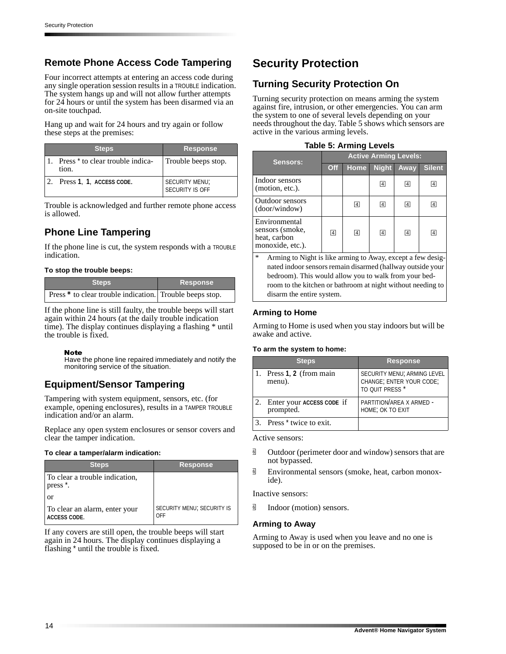## **Remote Phone Access Code Tampering**

Four incorrect attempts at entering an access code during any single operation session results in a TROUBLE indication. The system hangs up and will not allow further attempts for 24 hours or until the system has been disarmed via an on-site touchpad.

Hang up and wait for 24 hours and try again or follow these steps at the premises:

| <b>Steps</b>                                         | <b>Response</b>                   |
|------------------------------------------------------|-----------------------------------|
| Press <sup>*</sup> to clear trouble indica-<br>tion. | Trouble beeps stop.               |
| 2. Press 1, 1, ACCESS CODE.                          | SECURITY MENU;<br>SECURITY IS OFF |

Trouble is acknowledged and further remote phone access is allowed.

## **Phone Line Tampering**

If the phone line is cut, the system responds with a TROUBLE indication.

#### **To stop the trouble beeps:**

| <b>Steps</b>                                             | <b>Response</b> |  |
|----------------------------------------------------------|-----------------|--|
| Press * to clear trouble indication. Trouble beeps stop. |                 |  |

If the phone line is still faulty, the trouble beeps will start again within 24 hours (at the daily trouble indication time). The display continues displaying a flashing \* until the trouble is fixed.

#### **Note**

Have the phone line repaired immediately and notify the monitoring service of the situation.

## **Equipment/Sensor Tampering**

Tampering with system equipment, sensors, etc. (for example, opening enclosures), results in a TAMPER TROUBLE indication and/or an alarm.

Replace any open system enclosures or sensor covers and clear the tamper indication.

#### **To clear a tamper/alarm indication:**

| <b>Steps</b>                                           | <b>Response</b>                          |
|--------------------------------------------------------|------------------------------------------|
| To clear a trouble indication,<br>press <sup>*</sup> . |                                          |
| or                                                     |                                          |
| To clear an alarm, enter your<br><b>ACCESS CODE.</b>   | <b>SECURITY MENU; SECURITY IS</b><br>OFF |

If any covers are still open, the trouble beeps will start again in 24 hours. The display continues displaying a flashing \* until the trouble is fixed.

## **Security Protection**

## **Turning Security Protection On**

Turning security protection on means arming the system against fire, intrusion, or other emergencies. You can arm the system to one of several levels depending on your needs throughout the day. Table 5 shows which sensors are active in the various arming levels.

|  | <b>Table 5: Arming Levels</b> |  |
|--|-------------------------------|--|
|  |                               |  |

| Sensors:                                                             | <b>Active Arming Levels:</b> |                |                 |                 |                 |
|----------------------------------------------------------------------|------------------------------|----------------|-----------------|-----------------|-----------------|
|                                                                      | Off                          | <b>Home</b>    | <b>Night</b>    | Away            | <b>Silent</b>   |
| Indoor sensors<br>(motion, etc.).                                    |                              |                | $\vert 4 \vert$ | $\vert 4 \vert$ | $\vert 4 \vert$ |
| Outdoor sensors<br>(door/window)                                     |                              | $\boxed{4}$    | $\boxed{4}$     | $\vert 4 \vert$ | $\overline{4}$  |
| Environmental<br>sensors (smoke,<br>heat, carbon<br>monoxide, etc.). | $\boxed{4}$                  | $\overline{4}$ | $\boxed{4}$     | $\boxed{4}$     | $\overline{4}$  |

Arming to Night is like arming to Away, except a few designated indoor sensors remain disarmed (hallway outside your bedroom). This would allow you to walk from your bedroom to the kitchen or bathroom at night without needing to disarm the entire system.

### **Arming to Home**

Arming to Home is used when you stay indoors but will be awake and active.

#### **To arm the system to home:**

| <b>Steps</b>                           | <b>Response</b>                                                            |
|----------------------------------------|----------------------------------------------------------------------------|
| Press 1, 2 (from main<br>menu).        | SECURITY MENU; ARMING LEVEL<br>CHANGE; ENTER YOUR CODE;<br>TO QUIT PRESS * |
| Enter your ACCESS CODE if<br>prompted. | PARTITION/AREA X ARMED -<br>HOME; OK TO EXIT                               |
| Press <sup>*</sup> twice to exit.      |                                                                            |

Active sensors:

- $\overline{\mathbb{G}}$  Outdoor (perimeter door and window) sensors that are not bypassed.
- $\overline{9}$  Environmental sensors (smoke, heat, carbon monoxide).

Inactive sensors:

**d** Indoor (motion) sensors.

#### **Arming to Away**

Arming to Away is used when you leave and no one is supposed to be in or on the premises.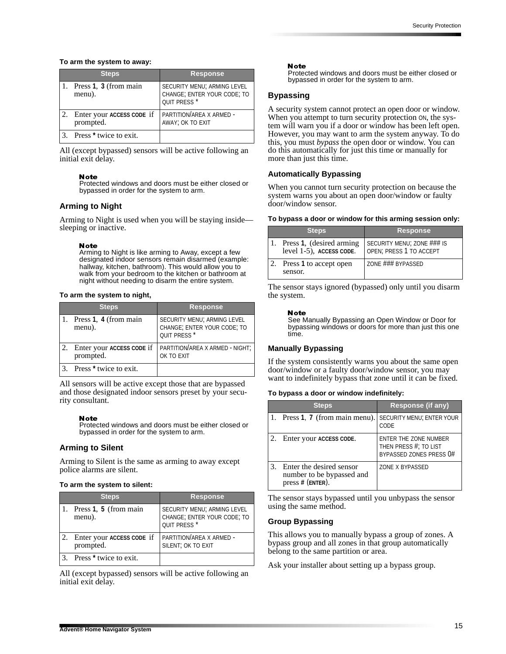#### **To arm the system to away:**

| <b>Steps</b>                           | <b>Response</b>                                                                       |
|----------------------------------------|---------------------------------------------------------------------------------------|
| Press 1, 3 (from main<br>menu).        | SECURITY MENU; ARMING LEVEL<br>CHANGE; ENTER YOUR CODE; TO<br>QUIT PRESS <sup>*</sup> |
| Enter your ACCESS CODE if<br>prompted. | PARTITION/AREA X ARMED -<br>AWAY; OK TO EXIT                                          |
| 3. Press <sup>*</sup> twice to exit.   |                                                                                       |

All (except bypassed) sensors will be active following an initial exit delay.

#### Note

Protected windows and doors must be either closed or bypassed in order for the system to arm.

#### **Arming to Night**

Arming to Night is used when you will be staying inside sleeping or inactive.

#### **Note**

Arming to Night is like arming to Away, except a few designated indoor sensors remain disarmed (example: hallway, kitchen, bathroom). This would allow you to walk from your bedroom to the kitchen or bathroom at night without needing to disarm the entire system.

#### **To arm the system to night,**

| <b>Steps</b>                           | <b>Response</b>                                                                       |
|----------------------------------------|---------------------------------------------------------------------------------------|
| Press 1, 4 (from main<br>menu).        | SECURITY MENU; ARMING LEVEL<br>CHANGE; ENTER YOUR CODE; TO<br>QUIT PRESS <sup>*</sup> |
| Enter your ACCESS CODE if<br>prompted. | PARTITION/AREA X ARMED - NIGHT;<br>OK TO EXIT                                         |
| Press <sup>*</sup> twice to exit.      |                                                                                       |

All sensors will be active except those that are bypassed and those designated indoor sensors preset by your security consultant.

#### **Note**

Protected windows and doors must be either closed or bypassed in order for the system to arm.

#### **Arming to Silent**

Arming to Silent is the same as arming to away except police alarms are silent.

#### **To arm the system to silent:**

| <b>Steps</b>                           | <b>Response</b>                                                                       |
|----------------------------------------|---------------------------------------------------------------------------------------|
| Press 1, 5 (from main<br>menu).        | SECURITY MENU; ARMING LEVEL<br>CHANGE; ENTER YOUR CODE; TO<br>QUIT PRESS <sup>*</sup> |
| Enter your ACCESS CODE if<br>prompted. | PARTITION/AREA X ARMED -<br>SILENT; OK TO EXIT                                        |
| Press <sup>*</sup> twice to exit.      |                                                                                       |

All (except bypassed) sensors will be active following an initial exit delay.

#### Note

Protected windows and doors must be either closed or bypassed in order for the system to arm.

#### **Bypassing**

A security system cannot protect an open door or window. When you attempt to turn security protection ON, the system will warn you if a door or window has been left open. However, you may want to arm the system anyway. To do this, you must *bypass* the open door or window. You can do this automatically for just this time or manually for more than just this time.

#### **Automatically Bypassing**

When you cannot turn security protection on because the system warns you about an open door/window or faulty door/window sensor.

#### **To bypass a door or window for this arming session only:**

| <b>Steps</b>                                         | <b>Response</b>                                       |
|------------------------------------------------------|-------------------------------------------------------|
| Press 1, (desired arming<br>level 1-5), ACCESS CODE. | SECURITY MENU; ZONE ### IS<br>OPEN; PRESS 1 TO ACCEPT |
| Press 1 to accept open<br>sensor.                    | ZONE ### BYPASSED                                     |

The sensor stays ignored (bypassed) only until you disarm the system.

**Note** 

See Manually Bypassing an Open Window or Door for bypassing windows or doors for more than just this one time.

#### **Manually Bypassing**

If the system consistently warns you about the same open door/window or a faulty door/window sensor, you may want to indefinitely bypass that zone until it can be fixed.

#### **To bypass a door or window indefinitely:**

| <b>Steps</b>                                                                | Response (if any)                                                                |
|-----------------------------------------------------------------------------|----------------------------------------------------------------------------------|
| 1. Press $1, 7$ (from main menu).                                           | SECURITY MENU; ENTER YOUR<br>CODE                                                |
| Enter your ACCESS CODE.                                                     | <b>ENTER THE ZONE NUMBER</b><br>THEN PRESS #; TO LIST<br>BYPASSED ZONES PRESS 0# |
| Enter the desired sensor<br>number to be bypassed and<br>$press$ # (ENTER). | ZONE X BYPASSED                                                                  |

The sensor stays bypassed until you unbypass the sensor using the same method.

#### **Group Bypassing**

This allows you to manually bypass a group of zones. A bypass group and all zones in that group automatically belong to the same partition or area.

Ask your installer about setting up a bypass group.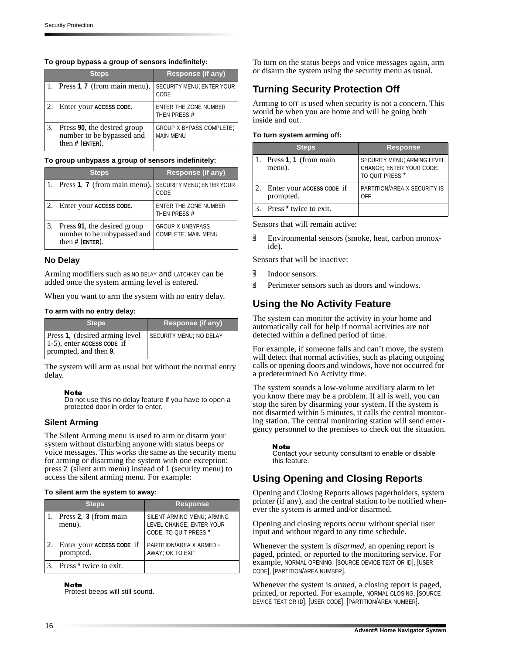#### **To group bypass a group of sensors indefinitely:**

| <b>Steps</b>                                                                  | Response (if any)                                   |
|-------------------------------------------------------------------------------|-----------------------------------------------------|
| 1. Press 1.7 (from main menu).                                                | SECURITY MENU; ENTER YOUR<br>CODE                   |
| Enter your ACCESS CODE.                                                       | <b>ENTER THE ZONE NUMBER</b><br>THEN PRESS #        |
| Press 90, the desired group<br>number to be bypassed and<br>then $#$ (ENTER). | <b>GROUP X BYPASS COMPLETE;</b><br><b>MAIN MENU</b> |

#### **To group unbypass a group of sensors indefinitely:**

| <b>Steps</b>                                                                    | Response (if any)                              |
|---------------------------------------------------------------------------------|------------------------------------------------|
| 1. Press 1, 7 (from main menu).                                                 | <b>SECURITY MENU; ENTER YOUR</b><br>CODE       |
| Enter your ACCESS CODE.                                                         | <b>ENTER THE ZONE NUMBER</b><br>THEN PRESS #   |
| Press 91, the desired group<br>number to be unbypassed and<br>then $#$ (ENTER). | <b>GROUP X UNBYPASS</b><br>COMPLETE; MAIN MENU |

#### **No Delay**

Arming modifiers such as NO DELAY and LATCHKEY can be added once the system arming level is entered.

When you want to arm the system with no entry delay.

#### **To arm with no entry delay:**

| <b>Steps</b>                                                                             | Response (if any)       |
|------------------------------------------------------------------------------------------|-------------------------|
| Press 1, (desired arming level<br>$1-5$ ), enter ACCESS CODE if<br>prompted, and then 9. | SECURITY MENU; NO DELAY |

The system will arm as usual but without the normal entry delay.

#### Note

Do not use this no delay feature if you have to open a protected door in order to enter.

#### **Silent Arming**

The Silent Arming menu is used to arm or disarm your system without disturbing anyone with status beeps or voice messages. This works the same as the security menu for arming or disarming the system with one exception: press 2 (silent arm menu) instead of 1 (security menu) to access the silent arming menu. For example:

#### **To silent arm the system to away:**

| <b>Steps</b>                           | <b>Response</b>                                                                 |
|----------------------------------------|---------------------------------------------------------------------------------|
| Press 2, 3 (from main<br>menu).        | SILENT ARMING MENU; ARMING<br>LEVEL CHANGE; ENTER YOUR<br>CODE; TO QUIT PRESS * |
| Enter your ACCESS CODE if<br>prompted. | PARTITION/AREA X ARMED -<br>AWAY; OK TO EXIT                                    |
| Press <sup>*</sup> twice to exit.      |                                                                                 |

#### **Note**

Protest beeps will still sound.

To turn on the status beeps and voice messages again, arm or disarm the system using the security menu as usual.

## **Turning Security Protection Off**

Arming to OFF is used when security is not a concern. This would be when you are home and will be going both inside and out.

#### **To turn system arming off:**

| <b>Steps</b>                           | <b>Response</b>                                                            |
|----------------------------------------|----------------------------------------------------------------------------|
| Press 1, 1 (from main<br>menu).        | SECURITY MENU; ARMING LEVEL<br>CHANGE; ENTER YOUR CODE;<br>TO QUIT PRESS * |
| Enter your ACCESS CODE if<br>prompted. | PARTITION/AREA X SECURITY IS<br><b>OFF</b>                                 |
| 3. Press <sup>*</sup> twice to exit.   |                                                                            |

Sensors that will remain active:

 $\overline{\mathbb{B}}$  Environmental sensors (smoke, heat, carbon monoxide).

Sensors that will be inactive:

- **id** Indoor sensors.
- $\overline{9}$  Perimeter sensors such as doors and windows.

## **Using the No Activity Feature**

The system can monitor the activity in your home and automatically call for help if normal activities are not detected within a defined period of time.

For example, if someone falls and can't move, the system will detect that normal activities, such as placing outgoing calls or opening doors and windows, have not occurred for a predetermined No Activity time.

The system sounds a low-volume auxiliary alarm to let you know there may be a problem. If all is well, you can stop the siren by disarming your system. If the system is not disarmed within 5 minutes, it calls the central monitoring station. The central monitoring station will send emergency personnel to the premises to check out the situation.

#### **Note**

Contact your security consultant to enable or disable this feature.

## **Using Opening and Closing Reports**

Opening and Closing Reports allows pagerholders, system printer (if any), and the central station to be notified whenever the system is armed and/or disarmed.

Opening and closing reports occur without special user input and without regard to any time schedule.

Whenever the system is *disarmed*, an opening report is paged, printed, or reported to the monitoring service. For example, NORMAL OPENING, [SOURCE DEVICE TEXT OR ID], [USER CODE], [PARTITION/AREA NUMBER].

Whenever the system is *armed*, a closing report is paged, printed, or reported. For example, NORMAL CLOSING, [SOURCE DEVICE TEXT OR ID], [USER CODE], [PARTITION/AREA NUMBER].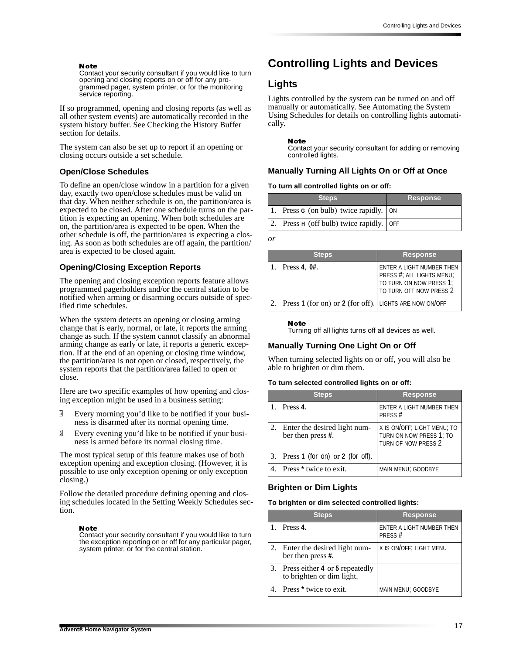#### **Note**

Contact your security consultant if you would like to turn opening and closing reports on or off for any programmed pager, system printer, or for the monitoring service reporting.

If so programmed, opening and closing reports (as well as all other system events) are automatically recorded in the system history buffer. See Checking the History Buffer section for details.

The system can also be set up to report if an opening or closing occurs outside a set schedule.

#### **Open/Close Schedules**

To define an open/close window in a partition for a given day, exactly two open/close schedules must be valid on that day. When neither schedule is on, the partition/area is expected to be closed. After one schedule turns on the partition is expecting an opening. When both schedules are on, the partition/area is expected to be open. When the other schedule is off, the partition/area is expecting a closing. As soon as both schedules are off again, the partition/ area is expected to be closed again.

#### **Opening/Closing Exception Reports**

The opening and closing exception reports feature allows programmed pagerholders and/or the central station to be notified when arming or disarming occurs outside of specified time schedules.

When the system detects an opening or closing arming change that is early, normal, or late, it reports the arming change as such. If the system cannot classify an abnormal arming change as early or late, it reports a generic exception. If at the end of an opening or closing time window, the partition/area is not open or closed, respectively, the system reports that the partition/area failed to open or close.

Here are two specific examples of how opening and closing exception might be used in a business setting:

- $\overline{\mathbb{B}}$  Every morning you'd like to be notified if your business is disarmed after its normal opening time.
- $\overline{\mathbb{B}}$  Every evening you'd like to be notified if your business is armed before its normal closing time.

The most typical setup of this feature makes use of both exception opening and exception closing. (However, it is possible to use only exception opening or only exception closing.)

Follow the detailed procedure defining opening and closing schedules located in the Setting Weekly Schedules section.

#### **Note**

Contact your security consultant if you would like to turn the exception reporting on or off for any particular pager, system printer, or for the central station.

## **Controlling Lights and Devices**

### **Lights**

Lights controlled by the system can be turned on and off manually or automatically. See Automating the System Using Schedules for details on controlling lights automatically.

#### Note

Contact your security consultant for adding or removing controlled lights.

#### **Manually Turning All Lights On or Off at Once**

#### **To turn all controlled lights on or off:**

| <b>Steps</b>                                     | <b>Response</b> |
|--------------------------------------------------|-----------------|
| 1. Press $G$ (on bulb) twice rapidly. $\vert$ ON |                 |
| 2. Press $H$ (off bulb) twice rapidly. OFF       |                 |

*or*

| <b>Steps</b>                                           | <b>Response</b>                                                                                              |
|--------------------------------------------------------|--------------------------------------------------------------------------------------------------------------|
| Press $4, 0#$ .                                        | ENTER A LIGHT NUMBER THEN<br>PRESS #; ALL LIGHTS MENU;<br>TO TURN ON NOW PRESS 1;<br>TO TURN OFF NOW PRESS 2 |
| Press 1 (for on) or 2 (for off). LIGHTS ARE NOW ON/OFF |                                                                                                              |

#### **Note**

Turning off all lights turns off all devices as well.

#### **Manually Turning One Light On or Off**

When turning selected lights on or off, you will also be able to brighten or dim them.

#### **To turn selected controlled lights on or off:**

| Steps                                                   | <b>Response</b>                                                               |
|---------------------------------------------------------|-------------------------------------------------------------------------------|
| Press <sub>4</sub>                                      | ENTER A LIGHT NUMBER THEN<br>PRESS#                                           |
| 2. Enter the desired light num-<br>ber then press $#$ . | X IS ON/OFF; LIGHT MENU; TO<br>TURN ON NOW PRESS 1; TO<br>TURN OF NOW PRESS 2 |
| 3. Press $1$ (for on) or $2$ (for off).                 |                                                                               |
| Press <sup>*</sup> twice to exit.                       | MAIN MENU; GOODBYE                                                            |

#### **Brighten or Dim Lights**

#### **To brighten or dim selected controlled lights:**

| <b>Steps</b>                                                   | <b>Response</b>                     |
|----------------------------------------------------------------|-------------------------------------|
| 1. Press $4$ .                                                 | ENTER A LIGHT NUMBER THEN<br>PRESS# |
| 2. Enter the desired light num-<br>ber then press #.           | X IS ON/OFF; LIGHT MENU             |
| 3. Press either 4 or 5 repeatedly<br>to brighten or dim light. |                                     |
| Press <sup>*</sup> twice to exit.                              | MAIN MENU; GOODBYE                  |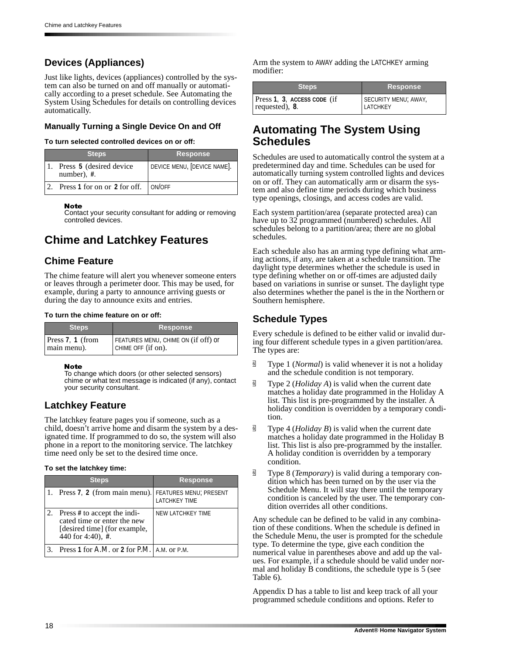## **Devices (Appliances)**

Just like lights, devices (appliances) controlled by the system can also be turned on and off manually or automatically according to a preset schedule. See Automating the System Using Schedules for details on controlling devices automatically.

### **Manually Turning a Single Device On and Off**

#### **To turn selected controlled devices on or off:**

| <b>Steps</b>                               | <b>Response</b>             |
|--------------------------------------------|-----------------------------|
| Press 5 (desired device)<br>number), $#$ . | DEVICE MENU, [DEVICE NAME]. |
| Press 1 for on or 2 for off. ON/OFF        |                             |

#### **Note**

Contact your security consultant for adding or removing controlled devices.

## **Chime and Latchkey Features**

## **Chime Feature**

The chime feature will alert you whenever someone enters or leaves through a perimeter door. This may be used, for example, during a party to announce arriving guests or during the day to announce exits and entries.

#### **To turn the chime feature on or off:**

| 'Steps i         | <b>Response</b>                     |
|------------------|-------------------------------------|
| Press 7, 1 (from | FEATURES MENU, CHIME ON (if off) or |
| main menu).      | CHIME OFF (if on).                  |

#### **Note**

To change which doors (or other selected sensors) chime or what text message is indicated (if any), contact your security consultant.

## **Latchkey Feature**

The latchkey feature pages you if someone, such as a child, doesn't arrive home and disarm the system by a designated time. If programmed to do so, the system will also phone in a report to the monitoring service. The latchkey time need only be set to the desired time once.

#### **To set the latchkey time:**

| <b>Steps</b>                                                                                                           | <b>Response</b>          |
|------------------------------------------------------------------------------------------------------------------------|--------------------------|
| 1. Press 7, 2 (from main menu). FEATURES MENU; PRESENT                                                                 | <b>LATCHKEY TIME</b>     |
| 2. Press # to accept the indi-<br>cated time or enter the new<br>[desired time] (for example,<br>440 for 4:40), $\#$ . | <b>NEW LATCHKEY TIME</b> |
| Press 1 for A.M. or 2 for P.M.   A.M. or P.M.                                                                          |                          |

Arm the system to AWAY adding the LATCHKEY arming modifier:

| <b>Steps</b>                | <b>Response</b>      |
|-----------------------------|----------------------|
| Press 1, 3, ACCESS CODE (if | SECURITY MENU; AWAY, |
| requested), 8.              | LATCHKEY             |

## **Automating The System Using Schedules**

Schedules are used to automatically control the system at a predetermined day and time. Schedules can be used for automatically turning system controlled lights and devices on or off. They can automatically arm or disarm the system and also define time periods during which business type openings, closings, and access codes are valid.

Each system partition/area (separate protected area) can have up to 32 programmed (numbered) schedules. All schedules belong to a partition/area; there are no global schedules.

Each schedule also has an arming type defining what arming actions, if any, are taken at a schedule transition. The daylight type determines whether the schedule is used in type defining whether on or off-times are adjusted daily based on variations in sunrise or sunset. The daylight type also determines whether the panel is the in the Northern or Southern hemisphere.

## **Schedule Types**

Every schedule is defined to be either valid or invalid during four different schedule types in a given partition/area. The types are:

- **q** Type 1 (*Normal*) is valid whenever it is not a holiday and the schedule condition is not temporary.
- $\overline{9}$  Type 2 (*Holiday A*) is valid when the current date matches a holiday date programmed in the Holiday A list. This list is pre-programmed by the installer. A holiday condition is overridden by a temporary condition.
- $\overline{\mathbb{B}}$  Type 4 (*Holiday B*) is valid when the current date matches a holiday date programmed in the Holiday B list. This list is also pre-programmed by the installer. A holiday condition is overridden by a temporary condition.
- q Type 8 (*Temporary*) is valid during a temporary condition which has been turned on by the user via the Schedule Menu. It will stay there until the temporary condition is canceled by the user. The temporary condition overrides all other conditions.

Any schedule can be defined to be valid in any combination of these conditions. When the schedule is defined in the Schedule Menu, the user is prompted for the schedule type. To determine the type, give each condition the numerical value in parentheses above and add up the values. For example, if a schedule should be valid under normal and holiday B conditions, the schedule type is 5 (see Table 6).

Appendix D has a table to list and keep track of all your programmed schedule conditions and options. Refer to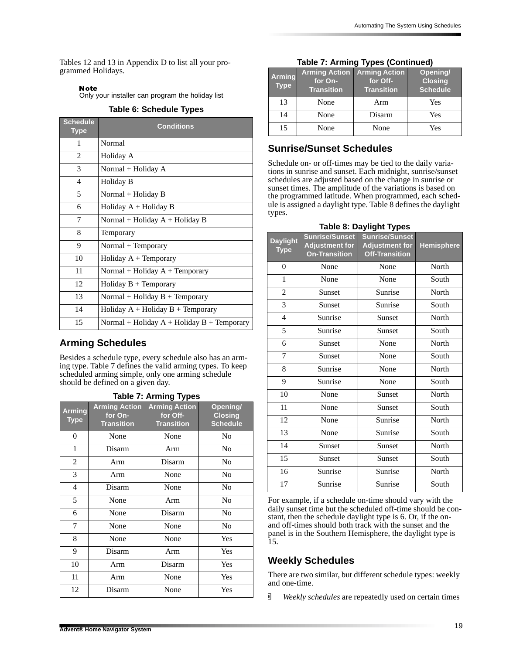Tables 12 and 13 in Appendix D to list all your programmed Holidays.

#### Note

Only your installer can program the holiday list

**Table 6: Schedule Types**

| <b>Schedule</b><br><b>Type</b> | <b>Conditions</b>                              |  |
|--------------------------------|------------------------------------------------|--|
| 1                              | Normal                                         |  |
| 2                              | Holiday A                                      |  |
| 3                              | Normal + Holiday A                             |  |
| 4                              | Holiday B                                      |  |
| 5                              | Normal + Holiday B                             |  |
| 6                              | Holiday $A +$ Holiday B                        |  |
| 7                              | Normal + Holiday A + Holiday B                 |  |
| 8                              | Temporary                                      |  |
| 9                              | Normal + Temporary                             |  |
| 10                             | Holiday $A + Temporary$                        |  |
| 11                             | Normal + Holiday $A$ + Temporary               |  |
| 12                             | Holiday $B + Temporary$                        |  |
| 13                             | Normal + Holiday $B$ + Temporary               |  |
| 14                             | Holiday $A +$ Holiday $B +$ Temporary          |  |
| 15                             | Normal + Holiday $A$ + Holiday $B$ + Temporary |  |

## **Arming Schedules**

Besides a schedule type, every schedule also has an arming type. Table 7 defines the valid arming types. To keep scheduled arming simple, only one arming schedule should be defined on a given day.

### **Table 7: Arming Types**

| <b>Arming</b><br><b>Type</b> | <b>Arming Action</b><br>for On-<br><b>Transition</b> | <b>Arming Action</b><br>for Off-<br><b>Transition</b> | Opening/<br><b>Closing</b><br><b>Schedule</b> |
|------------------------------|------------------------------------------------------|-------------------------------------------------------|-----------------------------------------------|
| 0                            | None                                                 | None                                                  | N <sub>0</sub>                                |
| 1                            | Disarm                                               | Arm                                                   | No                                            |
| 2                            | Arm                                                  | Disarm                                                | N <sub>0</sub>                                |
| 3                            | Arm                                                  | None                                                  | N <sub>0</sub>                                |
| 4                            | Disarm                                               | None                                                  | N <sub>0</sub>                                |
| 5                            | None                                                 | Arm                                                   | N <sub>0</sub>                                |
| 6                            | None                                                 | Disarm                                                | N <sub>0</sub>                                |
| 7                            | None                                                 | None                                                  | N <sub>0</sub>                                |
| 8                            | None                                                 | None                                                  | Yes                                           |
| 9                            | Disarm                                               | Arm                                                   | Yes                                           |
| 10                           | Arm                                                  | Disarm                                                | Yes                                           |
| 11                           | Arm                                                  | None                                                  | Yes                                           |
| 12                           | Disarm                                               | None                                                  | Yes                                           |

### **Table 7: Arming Types (Continued)**

| <b>Arming</b><br><b>Type</b> | <b>Arming Action</b><br>for On-<br><b>Transition</b> | <b>Arming Action</b><br>for Off-<br><b>Transition</b> | Opening/<br><b>Closing</b><br><b>Schedule</b> |
|------------------------------|------------------------------------------------------|-------------------------------------------------------|-----------------------------------------------|
| 13                           | None                                                 | Arm                                                   | Yes                                           |
| 14                           | None                                                 | Disarm                                                | Yes                                           |
| 15                           | None                                                 | None                                                  | Yes                                           |

### **Sunrise/Sunset Schedules**

Schedule on- or off-times may be tied to the daily variations in sunrise and sunset. Each midnight, sunrise/sunset schedules are adjusted based on the change in sunrise or sunset times. The amplitude of the variations is based on the programmed latitude. When programmed, each schedule is assigned a daylight type. Table 8 defines the daylight types.

| <b>Daylight</b><br><b>Type</b> | <b>Sunrise/Sunset</b><br><b>Adjustment for</b><br><b>On-Transition</b> | -- יעי<br><b>Sunrise/Sunset</b><br><b>Adjustment for</b><br><b>Off-Transition</b> | <b>Hemisphere</b> |
|--------------------------------|------------------------------------------------------------------------|-----------------------------------------------------------------------------------|-------------------|
| 0                              | None                                                                   | None                                                                              | North             |
| $\mathbf{1}$                   | None                                                                   | None                                                                              | South             |
| $\overline{2}$                 | Sunset                                                                 | Sunrise                                                                           | North             |
| 3                              | Sunset                                                                 | Sunrise                                                                           | South             |
| $\overline{\mathcal{L}}$       | Sunrise                                                                | Sunset                                                                            | North             |
| 5                              | Sunrise                                                                | Sunset                                                                            | South             |
| 6                              | Sunset                                                                 | None                                                                              | North             |
| 7                              | Sunset                                                                 | None                                                                              | South             |
| 8                              | Sunrise                                                                | None                                                                              | North             |
| 9                              | Sunrise                                                                | None                                                                              | South             |
| 10                             | None                                                                   | Sunset                                                                            | North             |
| 11                             | None                                                                   | Sunset                                                                            | South             |
| 12                             | None                                                                   | Sunrise                                                                           | North             |
| 13                             | None                                                                   | Sunrise                                                                           | South             |
| 14                             | Sunset                                                                 | Sunset                                                                            | North             |
| 15                             | Sunset                                                                 | Sunset                                                                            | South             |
| 16                             | Sunrise                                                                | Sunrise                                                                           | North             |
| 17                             | Sunrise                                                                | Sunrise                                                                           | South             |

**Table 8: Daylight Types**

For example, if a schedule on-time should vary with the daily sunset time but the scheduled off-time should be constant, then the schedule daylight type is 6. Or, if the onand off-times should both track with the sunset and the panel is in the Southern Hemisphere, the daylight type is 15.

## **Weekly Schedules**

There are two similar, but different schedule types: weekly and one-time.

q *Weekly schedules* are repeatedly used on certain times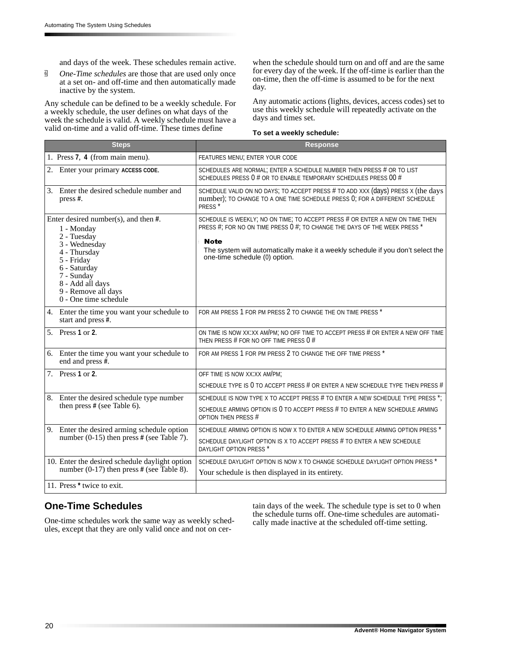and days of the week. These schedules remain active.

*g One-Time schedules* are those that are used only once at a set on- and off-time and then automatically made inactive by the system.

Any schedule can be defined to be a weekly schedule. For a weekly schedule, the user defines on what days of the week the schedule is valid. A weekly schedule must have a valid on-time and a valid off-time. These times define

when the schedule should turn on and off and are the same for every day of the week. If the off-time is earlier than the on-time, then the off-time is assumed to be for the next day.

Any automatic actions (lights, devices, access codes) set to use this weekly schedule will repeatedly activate on the days and times set.

#### **To set a weekly schedule:**

| <b>Steps</b>                                                                                                                                                                                                            | <b>Response</b>                                                                                                                                                                                                                                                                               |
|-------------------------------------------------------------------------------------------------------------------------------------------------------------------------------------------------------------------------|-----------------------------------------------------------------------------------------------------------------------------------------------------------------------------------------------------------------------------------------------------------------------------------------------|
| 1. Press 7, 4 (from main menu).                                                                                                                                                                                         | FEATURES MENU; ENTER YOUR CODE                                                                                                                                                                                                                                                                |
| 2. Enter your primary ACCESS CODE.                                                                                                                                                                                      | SCHEDULES ARE NORMAL; ENTER A SCHEDULE NUMBER THEN PRESS # OR TO LIST<br>SCHEDULES PRESS 0 # OR TO ENABLE TEMPORARY SCHEDULES PRESS 00 #                                                                                                                                                      |
| 3. Enter the desired schedule number and<br>press #.                                                                                                                                                                    | SCHEDULE VALID ON NO DAYS; TO ACCEPT PRESS # TO ADD XXX (days) PRESS X (the days<br>number); TO CHANGE TO A ONE TIME SCHEDULE PRESS 0; FOR A DIFFERENT SCHEDULE<br>PRESS <sup>*</sup>                                                                                                         |
| Enter desired number(s), and then $#$ .<br>1 - Monday<br>2 - Tuesday<br>3 - Wednesday<br>4 - Thursday<br>5 - Friday<br>6 - Saturday<br>7 - Sunday<br>8 - Add all days<br>9 - Remove all days<br>$0$ - One time schedule | SCHEDULE IS WEEKLY; NO ON TIME; TO ACCEPT PRESS # OR ENTER A NEW ON TIME THEN<br>PRESS #; FOR NO ON TIME PRESS 0 #; TO CHANGE THE DAYS OF THE WEEK PRESS *<br><b>Note</b><br>The system will automatically make it a weekly schedule if you don't select the<br>one-time schedule (0) option. |
| 4. Enter the time you want your schedule to<br>start and press #.                                                                                                                                                       | FOR AM PRESS 1 FOR PM PRESS 2 TO CHANGE THE ON TIME PRESS *                                                                                                                                                                                                                                   |
| 5. Press 1 or 2.                                                                                                                                                                                                        | ON TIME IS NOW XX:XX AM/PM; NO OFF TIME TO ACCEPT PRESS # OR ENTER A NEW OFF TIME<br>THEN PRESS # FOR NO OFF TIME PRESS 0 #                                                                                                                                                                   |
| 6. Enter the time you want your schedule to<br>end and press $\ddot{\textbf{H}}$ .                                                                                                                                      | FOR AM PRESS 1 FOR PM PRESS 2 TO CHANGE THE OFF TIME PRESS *                                                                                                                                                                                                                                  |
| 7. Press 1 or 2.                                                                                                                                                                                                        | OFF TIME IS NOW XX:XX AM/PM;                                                                                                                                                                                                                                                                  |
|                                                                                                                                                                                                                         | SCHEDULE TYPE IS 0 TO ACCEPT PRESS # OR ENTER A NEW SCHEDULE TYPE THEN PRESS #                                                                                                                                                                                                                |
| 8. Enter the desired schedule type number<br>then press # (see Table 6).                                                                                                                                                | SCHEDULE IS NOW TYPE X TO ACCEPT PRESS # TO ENTER A NEW SCHEDULE TYPE PRESS *;<br>SCHEDULE ARMING OPTION IS 0 TO ACCEPT PRESS # TO ENTER A NEW SCHEDULE ARMING<br><b>OPTION THEN PRESS #</b>                                                                                                  |
| 9. Enter the desired arming schedule option                                                                                                                                                                             | SCHEDULE ARMING OPTION IS NOW X TO ENTER A NEW SCHEDULE ARMING OPTION PRESS *                                                                                                                                                                                                                 |
| number $(0-15)$ then press # (see Table 7).                                                                                                                                                                             | SCHEDULE DAYLIGHT OPTION IS X TO ACCEPT PRESS # TO ENTER A NEW SCHEDULE<br>DAYLIGHT OPTION PRESS *                                                                                                                                                                                            |
| 10. Enter the desired schedule daylight option                                                                                                                                                                          | SCHEDULE DAYLIGHT OPTION IS NOW X TO CHANGE SCHEDULE DAYLIGHT OPTION PRESS *                                                                                                                                                                                                                  |
| number $(0-17)$ then press # (see Table 8).                                                                                                                                                                             | Your schedule is then displayed in its entirety.                                                                                                                                                                                                                                              |
| 11. Press * twice to exit.                                                                                                                                                                                              |                                                                                                                                                                                                                                                                                               |

### **One-Time Schedules**

One-time schedules work the same way as weekly schedules, except that they are only valid once and not on certain days of the week. The schedule type is set to 0 when the schedule turns off. One-time schedules are automatically made inactive at the scheduled off-time setting.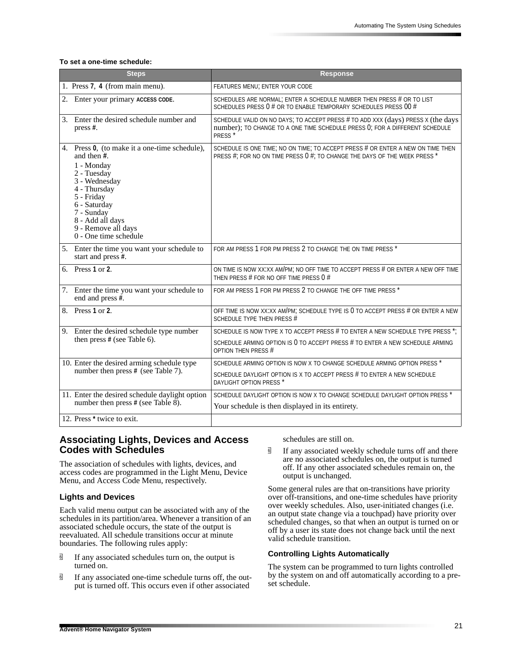#### **To set a one-time schedule:**

|    | <b>Steps</b>                                                                                                                                                                                                                                 | <b>Response</b>                                                                                                                                                                       |
|----|----------------------------------------------------------------------------------------------------------------------------------------------------------------------------------------------------------------------------------------------|---------------------------------------------------------------------------------------------------------------------------------------------------------------------------------------|
|    | 1. Press 7, 4 (from main menu).                                                                                                                                                                                                              | FEATURES MENU; ENTER YOUR CODE                                                                                                                                                        |
| 2. | Enter your primary ACCESS CODE.                                                                                                                                                                                                              | SCHEDULES ARE NORMAL; ENTER A SCHEDULE NUMBER THEN PRESS # OR TO LIST<br>SCHEDULES PRESS 0 # OR TO ENABLE TEMPORARY SCHEDULES PRESS 00 #                                              |
|    | 3. Enter the desired schedule number and<br>press #.                                                                                                                                                                                         | SCHEDULE VALID ON NO DAYS; TO ACCEPT PRESS # TO ADD XXX (days) PRESS X (the days<br>number); TO CHANGE TO A ONE TIME SCHEDULE PRESS 0; FOR A DIFFERENT SCHEDULE<br>PRESS <sup>*</sup> |
|    | 4. Press 0, (to make it a one-time schedule),<br>and then #.<br>1 - Monday<br>2 - Tuesday<br>3 - Wednesday<br>4 - Thursday<br>5 - Friday<br>6 - Saturday<br>7 - Sunday<br>8 - Add all days<br>9 - Remove all days<br>$0$ - One time schedule | SCHEDULE IS ONE TIME; NO ON TIME; TO ACCEPT PRESS # OR ENTER A NEW ON TIME THEN<br>PRESS #; FOR NO ON TIME PRESS 0 #; TO CHANGE THE DAYS OF THE WEEK PRESS *                          |
|    | 5. Enter the time you want your schedule to<br>start and press #.                                                                                                                                                                            | FOR AM PRESS 1 FOR PM PRESS 2 TO CHANGE THE ON TIME PRESS *                                                                                                                           |
|    | 6. Press 1 or 2.                                                                                                                                                                                                                             | ON TIME IS NOW XX:XX AM/PM; NO OFF TIME TO ACCEPT PRESS # OR ENTER A NEW OFF TIME<br>THEN PRESS # FOR NO OFF TIME PRESS 0 #                                                           |
|    | 7. Enter the time you want your schedule to<br>end and press $\sharp$ .                                                                                                                                                                      | FOR AM PRESS 1 FOR PM PRESS 2 TO CHANGE THE OFF TIME PRESS *                                                                                                                          |
|    | 8. Press 1 or 2.                                                                                                                                                                                                                             | OFF TIME IS NOW XX:XX AM/PM; SCHEDULE TYPE IS 0 TO ACCEPT PRESS # OR ENTER A NEW<br>SCHEDULE TYPE THEN PRESS #                                                                        |
|    | 9. Enter the desired schedule type number                                                                                                                                                                                                    | SCHEDULE IS NOW TYPE X TO ACCEPT PRESS # TO ENTER A NEW SCHEDULE TYPE PRESS *;                                                                                                        |
|    | then press # (see Table 6).                                                                                                                                                                                                                  | SCHEDULE ARMING OPTION IS 0 TO ACCEPT PRESS # TO ENTER A NEW SCHEDULE ARMING<br><b>OPTION THEN PRESS #</b>                                                                            |
|    | 10. Enter the desired arming schedule type                                                                                                                                                                                                   | SCHEDULE ARMING OPTION IS NOW X TO CHANGE SCHEDULE ARMING OPTION PRESS *                                                                                                              |
|    | number then press # (see Table 7).                                                                                                                                                                                                           | SCHEDULE DAYLIGHT OPTION IS X TO ACCEPT PRESS # TO ENTER A NEW SCHEDULE<br>DAYLIGHT OPTION PRESS *                                                                                    |
|    | 11. Enter the desired schedule daylight option<br>number then press # (see Table $\overline{8}$ ).                                                                                                                                           | SCHEDULE DAYLIGHT OPTION IS NOW X TO CHANGE SCHEDULE DAYLIGHT OPTION PRESS *                                                                                                          |
|    |                                                                                                                                                                                                                                              | Your schedule is then displayed in its entirety.                                                                                                                                      |
|    | 12. Press * twice to exit.                                                                                                                                                                                                                   |                                                                                                                                                                                       |

### **Associating Lights, Devices and Access Codes with Schedules**

The association of schedules with lights, devices, and access codes are programmed in the Light Menu, Device Menu, and Access Code Menu, respectively.

#### **Lights and Devices**

Each valid menu output can be associated with any of the schedules in its partition/area. Whenever a transition of an associated schedule occurs, the state of the output is reevaluated. All schedule transitions occur at minute boundaries. The following rules apply:

- $\overline{\mathbb{B}}$  If any associated schedules turn on, the output is turned on.
- $\overline{\mathbb{G}}$  If any associated one-time schedule turns off, the output is turned off. This occurs even if other associated

schedules are still on.

 $\overline{\mathbb{G}}$  If any associated weekly schedule turns off and there are no associated schedules on, the output is turned off. If any other associated schedules remain on, the output is unchanged.

Some general rules are that on-transitions have priority over off-transitions, and one-time schedules have priority over weekly schedules. Also, user-initiated changes (i.e. an output state change via a touchpad) have priority over scheduled changes, so that when an output is turned on or off by a user its state does not change back until the next valid schedule transition.

#### **Controlling Lights Automatically**

The system can be programmed to turn lights controlled by the system on and off automatically according to a preset schedule.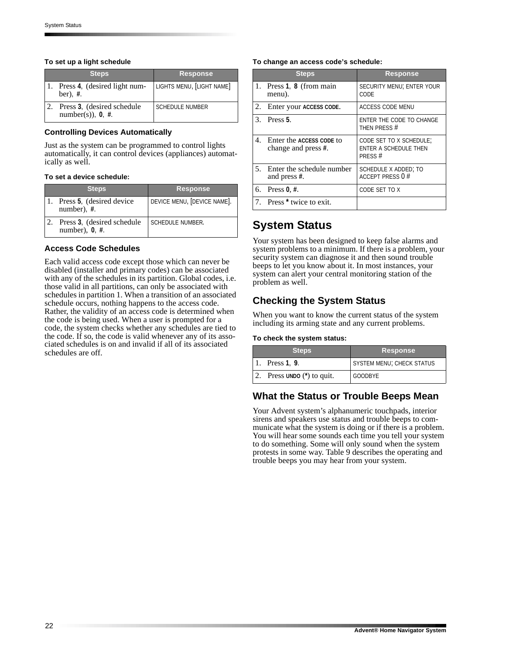#### **To set up a light schedule**

| <b>Steps</b>                                        | <b>Response</b>           |
|-----------------------------------------------------|---------------------------|
| 1. Press 4, (desired light num-<br>ber), $#$ .      | LIGHTS MENU, [LIGHT NAME] |
| Press 3, (desired schedule<br>number(s)), $0, \#$ . | <b>SCHEDULE NUMBER</b>    |

#### **Controlling Devices Automatically**

Just as the system can be programmed to control lights automatically, it can control devices (appliances) automatically as well.

#### **To set a device schedule:**

| <b>Steps</b>                                    | <b>Response</b>             |
|-------------------------------------------------|-----------------------------|
| Press 5, (desired device<br>number), $#$ .      | DEVICE MENU, [DEVICE NAME]. |
| Press 3, (desired schedule<br>number), $0, #$ . | <b>SCHEDULE NUMBER.</b>     |

### **Access Code Schedules**

Each valid access code except those which can never be disabled (installer and primary codes) can be associated with any of the schedules in its partition. Global codes, i.e. those valid in all partitions, can only be associated with schedules in partition 1. When a transition of an associated schedule occurs, nothing happens to the access code. Rather, the validity of an access code is determined when the code is being used. When a user is prompted for a code, the system checks whether any schedules are tied to the code. If so, the code is valid whenever any of its associated schedules is on and invalid if all of its associated schedules are off.

#### **To change an access code's schedule:**

| <b>Steps</b>                                       | <b>Response</b>                                            |
|----------------------------------------------------|------------------------------------------------------------|
| 1. Press 1, 8 (from main<br>menu).                 | SECURITY MENU; ENTER YOUR<br>CODE                          |
| 2. Enter your ACCESS CODE.                         | <b>ACCESS CODE MENU</b>                                    |
| $3.$ Press 5.                                      | ENTER THE CODE TO CHANGE<br>THEN PRESS #                   |
| 4. Enter the ACCESS CODE to<br>change and press #. | CODE SET TO X SCHEDULE;<br>ENTER A SCHEDULE THEN<br>PRESS# |
| 5. Enter the schedule number<br>and press #.       | SCHEDULE X ADDED; TO<br><b>ACCEPT PRESS 0 #</b>            |
| 6. Press $0, #$ .                                  | CODE SET TO X                                              |
| 7. Press <sup>*</sup> twice to exit.               |                                                            |

## **System Status**

Your system has been designed to keep false alarms and system problems to a minimum. If there is a problem, your security system can diagnose it and then sound trouble beeps to let you know about it. In most instances, your system can alert your central monitoring station of the problem as well.

## **Checking the System Status**

When you want to know the current status of the system including its arming state and any current problems.

#### **To check the system status:**

| <b>Steps</b> |                           | <b>Response</b>           |  |
|--------------|---------------------------|---------------------------|--|
|              | 1. Press 1, 9.            | SYSTEM MENU; CHECK STATUS |  |
|              | Press UNDO $(*)$ to quit. | <b>GOODBYE</b>            |  |

### **What the Status or Trouble Beeps Mean**

Your Advent system's alphanumeric touchpads, interior sirens and speakers use status and trouble beeps to communicate what the system is doing or if there is a problem. You will hear some sounds each time you tell your system to do something. Some will only sound when the system protests in some way. Table 9 describes the operating and trouble beeps you may hear from your system.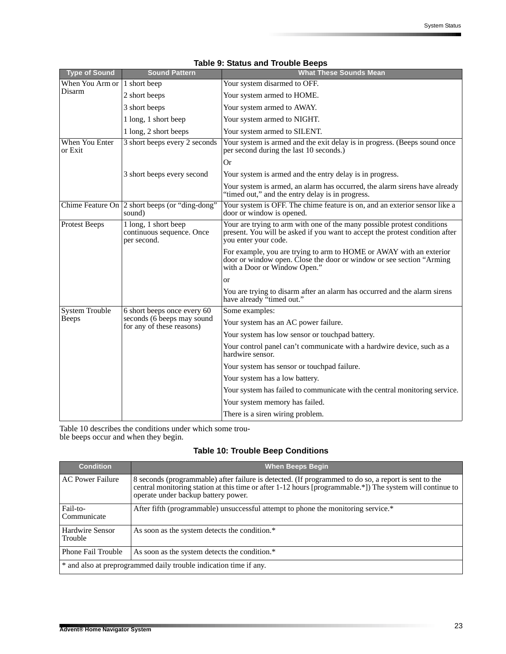| <b>Type of Sound</b>      | <b>Sound Pattern</b>                                             | <b>What These Sounds Mean</b>                                                                                                                                                   |  |
|---------------------------|------------------------------------------------------------------|---------------------------------------------------------------------------------------------------------------------------------------------------------------------------------|--|
| When You Arm or           | 1 short beep                                                     | Your system disarmed to OFF.                                                                                                                                                    |  |
| Disarm                    | 2 short beeps                                                    | Your system armed to HOME.                                                                                                                                                      |  |
|                           | 3 short beeps                                                    | Your system armed to AWAY.                                                                                                                                                      |  |
|                           | 1 long, 1 short beep                                             | Your system armed to NIGHT.                                                                                                                                                     |  |
|                           | 1 long, 2 short beeps                                            | Your system armed to SILENT.                                                                                                                                                    |  |
| When You Enter<br>or Exit | 3 short beeps every 2 seconds                                    | Your system is armed and the exit delay is in progress. (Beeps sound once<br>per second during the last 10 seconds.)                                                            |  |
|                           |                                                                  | Or                                                                                                                                                                              |  |
|                           | 3 short beeps every second                                       | Your system is armed and the entry delay is in progress.                                                                                                                        |  |
|                           |                                                                  | Your system is armed, an alarm has occurred, the alarm sirens have already<br>"timed out," and the entry delay is in progress.                                                  |  |
|                           | Chime Feature On 2 short beeps (or "ding-dong"<br>sound)         | Your system is OFF. The chime feature is on, and an exterior sensor like a<br>door or window is opened.                                                                         |  |
| Protest Beeps             | 1 long, 1 short beep<br>continuous sequence. Once<br>per second. | Your are trying to arm with one of the many possible protest conditions<br>present. You will be asked if you want to accept the protest condition after<br>you enter your code. |  |
|                           |                                                                  | For example, you are trying to arm to HOME or AWAY with an exterior<br>door or window open. Close the door or window or see section "Arming"<br>with a Door or Window Open."    |  |
|                           |                                                                  | or                                                                                                                                                                              |  |
|                           |                                                                  | You are trying to disarm after an alarm has occurred and the alarm sirens<br>have already "timed out."                                                                          |  |
| <b>System Trouble</b>     | 6 short beeps once every 60                                      | Some examples:                                                                                                                                                                  |  |
| <b>Beeps</b>              | seconds (6 beeps may sound<br>for any of these reasons)          | Your system has an AC power failure.                                                                                                                                            |  |
|                           |                                                                  | Your system has low sensor or touchpad battery.                                                                                                                                 |  |
|                           |                                                                  | Your control panel can't communicate with a hardwire device, such as a<br>hardwire sensor.                                                                                      |  |
|                           |                                                                  | Your system has sensor or touchpad failure.                                                                                                                                     |  |
|                           |                                                                  | Your system has a low battery.                                                                                                                                                  |  |
|                           |                                                                  | Your system has failed to communicate with the central monitoring service.                                                                                                      |  |
|                           |                                                                  | Your system memory has failed.                                                                                                                                                  |  |
|                           |                                                                  | There is a siren wiring problem.                                                                                                                                                |  |

### **Table 9: Status and Trouble Beeps**

Table 10 describes the conditions under which some trouble beeps occur and when they begin.

### **Table 10: Trouble Beep Conditions**

| <b>Condition</b>                                                  | <b>When Beeps Begin</b>                                                                                                                                                                                                                                  |  |
|-------------------------------------------------------------------|----------------------------------------------------------------------------------------------------------------------------------------------------------------------------------------------------------------------------------------------------------|--|
| <b>AC Power Failure</b>                                           | 8 seconds (programmable) after failure is detected. (If programmed to do so, a report is sent to the<br>central monitoring station at this time or after 1-12 hours [programmable.*]) The system will continue to<br>operate under backup battery power. |  |
| Fail-to-<br>Communicate                                           | After fifth (programmable) unsuccessful attempt to phone the monitoring service.*                                                                                                                                                                        |  |
| Hardwire Sensor<br>Trouble                                        | As soon as the system detects the condition.*                                                                                                                                                                                                            |  |
| <b>Phone Fail Trouble</b>                                         | As soon as the system detects the condition.*                                                                                                                                                                                                            |  |
| * and also at preprogrammed daily trouble indication time if any. |                                                                                                                                                                                                                                                          |  |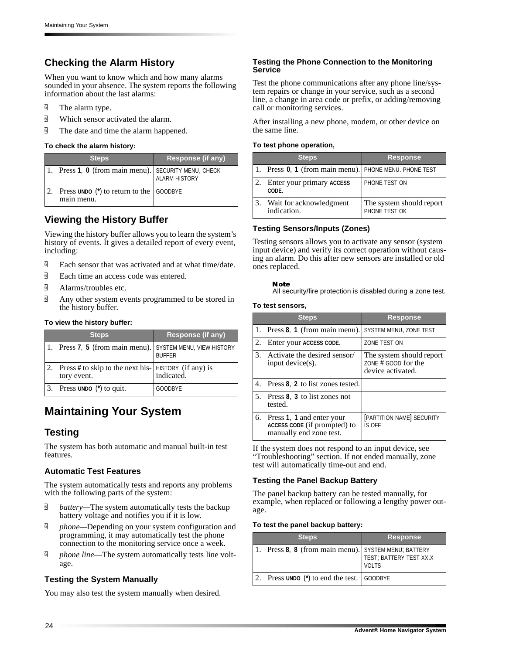## **Checking the Alarm History**

When you want to know which and how many alarms sounded in your absence. The system reports the following information about the last alarms:

- **d** The alarm type.
- $\overline{9}$  Which sensor activated the alarm.
- $\overline{9}$  The date and time the alarm happened.

#### **To check the alarm history:**

| <b>Steps</b>                                            | <b>Response (if any)</b> |
|---------------------------------------------------------|--------------------------|
| 1. Press 1, 0 (from main menu). SECURITY MENU, CHECK    | ALARM HISTORY            |
| Press UNDO $(*)$ to return to the GOODBYE<br>main menu. |                          |

## **Viewing the History Buffer**

Viewing the history buffer allows you to learn the system's history of events. It gives a detailed report of every event, including:

- $\overline{9}$  Each sensor that was activated and at what time/date.
- $\overline{9}$  Each time an access code was entered.
- a Alarms/troubles etc.
- $\overline{9}$  Any other system events programmed to be stored in the history buffer.

#### **To view the history buffer:**

| <b>Steps</b>                                                            | Response (if any) |
|-------------------------------------------------------------------------|-------------------|
| 1. Press 7, 5 (from main menu). SYSTEM MENU, VIEW HISTORY               | <b>BUFFER</b>     |
| Press # to skip to the next his-<br> HISTORY (if any) is<br> indicated. |                   |
| 3. Press UNDO $(*)$ to quit.                                            | <b>GOODBYE</b>    |

## **Maintaining Your System**

## **Testing**

The system has both automatic and manual built-in test features.

#### **Automatic Test Features**

The system automatically tests and reports any problems with the following parts of the system:

- **d** *battery*—The system automatically tests the backup battery voltage and notifies you if it is low.
- **d** *phone*—Depending on your system configuration and programming, it may automatically test the phone connection to the monitoring service once a week.
- *g phone line*—The system automatically tests line voltage.

### **Testing the System Manually**

You may also test the system manually when desired.

#### **Testing the Phone Connection to the Monitoring Service**

Test the phone communications after any phone line/system repairs or change in your service, such as a second line, a change in area code or prefix, or adding/removing call or monitoring services.

After installing a new phone, modem, or other device on the same line.

#### **To test phone operation,**

|    | <b>Steps</b>                                           | <b>Response</b>                           |
|----|--------------------------------------------------------|-------------------------------------------|
|    | 1. Press 0, 1 (from main menu). PHONE MENU. PHONE TEST |                                           |
| 2. | Enter your primary ACCESS<br>CODE.                     | PHONE TEST ON                             |
|    | Wait for acknowledgment<br>indication.                 | The system should report<br>PHONE TEST OK |

#### **Testing Sensors/Inputs (Zones)**

Testing sensors allows you to activate any sensor (system input device) and verify its correct operation without causing an alarm. Do this after new sensors are installed or old ones replaced.

#### Note

All security/fire protection is disabled during a zone test.

#### **To test sensors,**

| <b>Steps</b>                                                                            | <b>Response</b>                                                        |
|-----------------------------------------------------------------------------------------|------------------------------------------------------------------------|
| 1. Press $\mathbf{8}$ , 1 (from main menu).                                             | SYSTEM MENU, ZONE TEST                                                 |
| 2. Enter your ACCESS CODE.                                                              | ZONE TEST ON                                                           |
| 3. Activate the desired sensor/<br>input device(s).                                     | The system should report<br>ZONE $#$ GOOD for the<br>device activated. |
| 4. Press 8, 2 to list zones tested.                                                     |                                                                        |
| 5. Press 8, 3 to list zones not<br>tested.                                              |                                                                        |
| 6. Press 1, 1 and enter your<br>ACCESS CODE (if prompted) to<br>manually end zone test. | [PARTITION NAME] SECURITY<br>IS OFF                                    |

If the system does not respond to an input device, see "Troubleshooting" section. If not ended manually, zone test will automatically time-out and end.

#### **Testing the Panel Backup Battery**

The panel backup battery can be tested manually, for example, when replaced or following a lengthy power outage.

#### **To test the panel backup battery:**

| <b>Steps</b>                                      | <b>Response</b>                         |
|---------------------------------------------------|-----------------------------------------|
| Press 8, 8 (from main menu). SYSTEM MENU; BATTERY | TEST; BATTERY TEST XX.X<br><b>VOLTS</b> |
| Press UNDO (*) to end the test. GOODBYE           |                                         |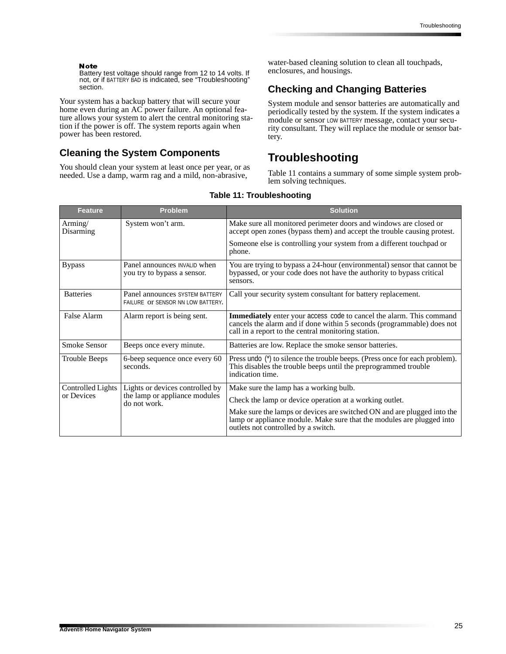#### **Note**

Battery test voltage should range from 12 to 14 volts. If not, or if BATTERY BAD is indicated, see "Troubleshooting" section.

Your system has a backup battery that will secure your home even during an AC power failure. An optional feature allows your system to alert the central monitoring station if the power is off. The system reports again when power has been restored.

### **Cleaning the System Components**

You should clean your system at least once per year, or as needed. Use a damp, warm rag and a mild, non-abrasive,

water-based cleaning solution to clean all touchpads, enclosures, and housings.

## **Checking and Changing Batteries**

System module and sensor batteries are automatically and periodically tested by the system. If the system indicates a module or sensor LOW BATTERY message, contact your security consultant. They will replace the module or sensor battery.

## **Troubleshooting**

Table 11 contains a summary of some simple system problem solving techniques.

| Feature                         | <b>Problem</b>                                                      | <b>Solution</b>                                                                                                                                                                                       |
|---------------------------------|---------------------------------------------------------------------|-------------------------------------------------------------------------------------------------------------------------------------------------------------------------------------------------------|
| Arming/<br>Disarming            | System won't arm.                                                   | Make sure all monitored perimeter doors and windows are closed or<br>accept open zones (bypass them) and accept the trouble causing protest.                                                          |
|                                 |                                                                     | Someone else is controlling your system from a different touchpad or<br>phone.                                                                                                                        |
| <b>Bypass</b>                   | Panel announces INVALID when<br>you try to bypass a sensor.         | You are trying to bypass a 24-hour (environmental) sensor that cannot be<br>bypassed, or your code does not have the authority to bypass critical<br>sensors.                                         |
| <b>Batteries</b>                | Panel announces SYSTEM BATTERY<br>FAILURE OF SENSOR NN LOW BATTERY. | Call your security system consultant for battery replacement.                                                                                                                                         |
| False Alarm                     | Alarm report is being sent.                                         | Immediately enter your access code to cancel the alarm. This command<br>cancels the alarm and if done within 5 seconds (programmable) does not<br>call in a report to the central monitoring station. |
| <b>Smoke Sensor</b>             | Beeps once every minute.                                            | Batteries are low. Replace the smoke sensor batteries.                                                                                                                                                |
| <b>Trouble Beeps</b>            | 6-beep sequence once every 60<br>seconds.                           | Press undo (*) to silence the trouble beeps. (Press once for each problem).<br>This disables the trouble beeps until the preprogrammed trouble<br>indication time.                                    |
| Controlled Lights<br>or Devices | Lights or devices controlled by                                     | Make sure the lamp has a working bulb.                                                                                                                                                                |
|                                 | the lamp or appliance modules<br>do not work.                       | Check the lamp or device operation at a working outlet.                                                                                                                                               |
|                                 |                                                                     | Make sure the lamps or devices are switched ON and are plugged into the<br>lamp or appliance module. Make sure that the modules are plugged into<br>outlets not controlled by a switch.               |

#### **Table 11: Troubleshooting**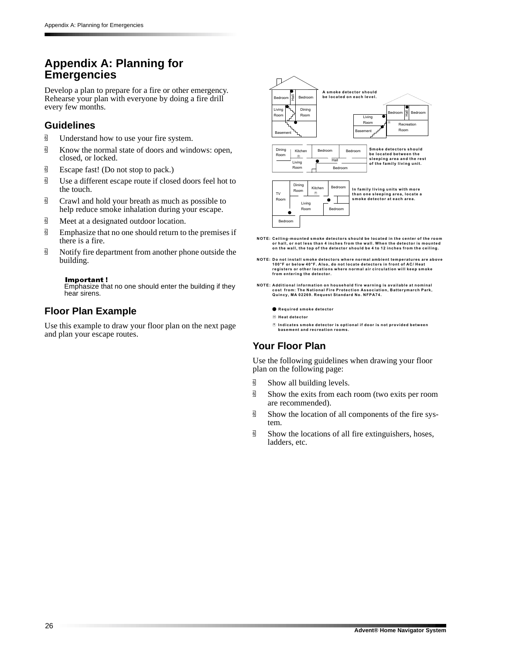## **Appendix A: Planning for Emergencies**

Develop a plan to prepare for a fire or other emergency. Rehearse your plan with everyone by doing a fire drill every few months.

### **Guidelines**

- *g* Understand how to use your fire system.
- $\overline{9}$  Know the normal state of doors and windows: open, closed, or locked.
- **d** Escape fast! (Do not stop to pack.)
- $\overline{9}$  Use a different escape route if closed doors feel hot to the touch.
- $\overline{9}$  Crawl and hold your breath as much as possible to help reduce smoke inhalation during your escape.
- $\overline{9}$  Meet at a designated outdoor location.
- $\overline{9}$  Emphasize that no one should return to the premises if there is a fire.
- $\overline{9}$  Notify fire department from another phone outside the building.

#### Important!

Emphasize that no one should enter the building if they hear sirens.

## **Floor Plan Example**

Use this example to draw your floor plan on the next page and plan your escape routes.



- NOTE: Ceiling-mounted smoke detectors should be located in the center of the room<br>or hall, or not less than 4 inches from the wall. When the detector is mounted on the wall, the top of the detector should be 4 to 12 inches from the ceiling.
- NOTE: Do not install smoke detectors where normal ambient temperatures are above<br>100°F or below 40°F. Also, do not locate detectors in front of AC/ Heat<br>registers or other locations where normal air circulation will keep s from entering the detector.
- NOTE: Additional information on household fire warning is available at nominal<br>Cost from: The National Fire Protection Association, Batterymarch Park,<br>Quincy, MA 02269. Request Standard No. NFPA74.
	- **Required smoke detector**
	- **) -**
	- ⑤ Indicates smoke detector is optional if door is not provided between<br>basement and recreation rooms.

## **Your Floor Plan**

Use the following guidelines when drawing your floor plan on the following page:

- $\overline{9}$  Show all building levels.
- $\overline{9}$  Show the exits from each room (two exits per room are recommended).
- **d** Show the location of all components of the fire system.
- $\overline{\mathbb{B}}$  Show the locations of all fire extinguishers, hoses, ladders, etc.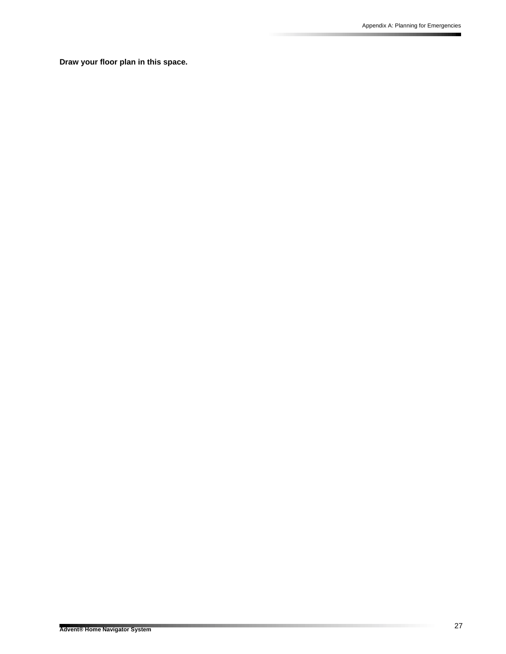**Draw your floor plan in this space.**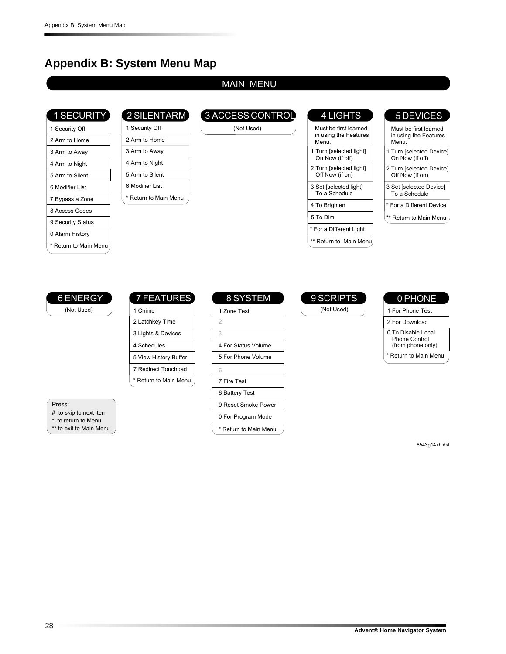## **Appendix B: System Menu Map**

2 SILENTAR

### MAIN MEN

|  | <b>1 SECURITY</b> |  |  |
|--|-------------------|--|--|
|  |                   |  |  |
|  |                   |  |  |
|  |                   |  |  |

9 Security Statu 0 Alarm Histor \* Return to Main Men

| 1 Security Off  | 1 Security Off       |
|-----------------|----------------------|
| 2 Arm to Home   | 2 Arm to Home        |
| 3 Arm to Away   | 3 Arm to Away        |
| 4 Arm to Night  | 4 Arm to Night       |
| 5 Arm to Silent | 5 Arm to Silent      |
| 6 Modifier List | 6 Modifier List      |
| 7 Bypass a Zone | * Return to Main Men |
| 8 Access Codes  |                      |

## 3 ACCESS CONTROL

(Not Used

| <b>4 LIGHTS</b>                                         |                     |
|---------------------------------------------------------|---------------------|
| Must be first learned<br>in using the Features<br>Menu. | Mus<br>in us<br>Men |
| 1 Turn [selected light]<br>On Now (if off)              | 1 Turn<br>On N      |
| 2 Turn [selected light]<br>Off Now (if on)              | 2 Turn<br>Off N     |
| 3 Set [selected light]<br>To a Schedule                 | 3 Set  <br>To a     |
| 4 To Brighten                                           | * For a             |
| 5 To Dim                                                | ** Retu             |
| * For a Different Light                                 |                     |
| ** Return to Main Menu.                                 |                     |
|                                                         |                     |

### **DEVICES**

Must be first learn " in using the Featur  $\ddot{\phantom{0}}$ iu. \* For a Different Device 1 Turn [selected Devic  $\overline{\mathsf{v}}$ ow (if off) t [selected Devic To a Schedul 2 Turn [selected Devic  $\overline{\mathsf{v}}$ ow (if on)

turn to Main Men



#### 7 FEATURE 1 Chime 2 Latchkey Tim 3 Lights & Devic : 4 Schedul : 5 View History Buff l \* Return to Main Men 7 Redirect Touchpa

Press

# to skip to next it  $\overline{\phantom{a}}$ 

\* to return to Men

\*\* to exit to Main Men

## 8 SYSTEM

| 1 Zone Test           |  |
|-----------------------|--|
| $\overline{2}$        |  |
| 3                     |  |
| 4 For Status Volume   |  |
| 5 For Phone Volume    |  |
| 6                     |  |
| 7 Fire Test           |  |
| 8 Battery Test        |  |
| 9 Reset Smoke Power   |  |
| 0 For Program Mode    |  |
| * Return to Main Menu |  |

# 9 SCRIPTS

(Not Used

#### 0 PHONE 2 For Download 1 For Phone Tes 0 To Disable Loca Phone Contro (from phone only

\* Return to Main Men

8543g147b.dsf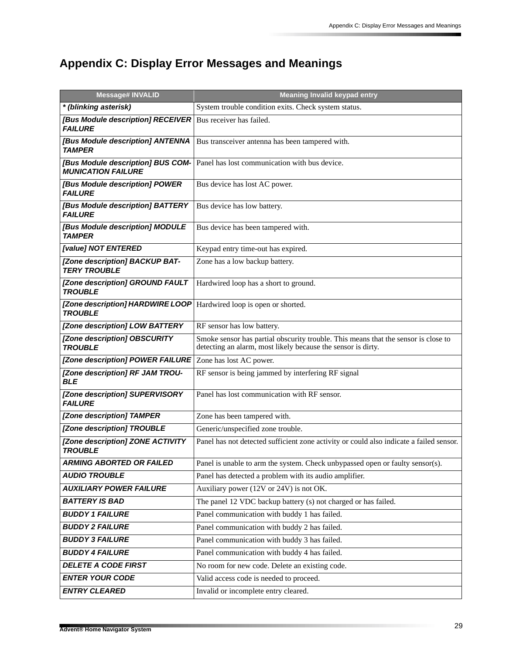# **Appendix C: Display Error Messages and Meanings**

| <b>Message# INVALID</b>                                        | <b>Meaning Invalid keypad entry</b>                                                                                                                |  |  |  |  |  |
|----------------------------------------------------------------|----------------------------------------------------------------------------------------------------------------------------------------------------|--|--|--|--|--|
| * (blinking asterisk)                                          | System trouble condition exits. Check system status.                                                                                               |  |  |  |  |  |
| [Bus Module description] RECEIVER<br><b>FAILURE</b>            | Bus receiver has failed.                                                                                                                           |  |  |  |  |  |
| [Bus Module description] ANTENNA<br><b>TAMPER</b>              | Bus transceiver antenna has been tampered with.                                                                                                    |  |  |  |  |  |
| [Bus Module description] BUS COM-<br><b>MUNICATION FAILURE</b> | Panel has lost communication with bus device.                                                                                                      |  |  |  |  |  |
| [Bus Module description] POWER<br><b>FAILURE</b>               | Bus device has lost AC power.                                                                                                                      |  |  |  |  |  |
| [Bus Module description] BATTERY<br><b>FAILURE</b>             | Bus device has low battery.                                                                                                                        |  |  |  |  |  |
| [Bus Module description] MODULE<br><b>TAMPER</b>               | Bus device has been tampered with.                                                                                                                 |  |  |  |  |  |
| [value] NOT ENTERED                                            | Keypad entry time-out has expired.                                                                                                                 |  |  |  |  |  |
| [Zone description] BACKUP BAT-<br><b>TERY TROUBLE</b>          | Zone has a low backup battery.                                                                                                                     |  |  |  |  |  |
| [Zone description] GROUND FAULT<br><b>TROUBLE</b>              | Hardwired loop has a short to ground.                                                                                                              |  |  |  |  |  |
| [Zone description] HARDWIRE LOOP<br><b>TROUBLE</b>             | Hardwired loop is open or shorted.                                                                                                                 |  |  |  |  |  |
| [Zone description] LOW BATTERY                                 | RF sensor has low battery.                                                                                                                         |  |  |  |  |  |
| [Zone description] OBSCURITY<br><b>TROUBLE</b>                 | Smoke sensor has partial obscurity trouble. This means that the sensor is close to<br>detecting an alarm, most likely because the sensor is dirty. |  |  |  |  |  |
| [Zone description] POWER FAILURE                               | Zone has lost AC power.                                                                                                                            |  |  |  |  |  |
| [Zone description] RF JAM TROU-<br><b>BLE</b>                  | RF sensor is being jammed by interfering RF signal                                                                                                 |  |  |  |  |  |
| [Zone description] SUPERVISORY<br><b>FAILURE</b>               | Panel has lost communication with RF sensor.                                                                                                       |  |  |  |  |  |
| [Zone description] TAMPER                                      | Zone has been tampered with.                                                                                                                       |  |  |  |  |  |
| [Zone description] TROUBLE                                     | Generic/unspecified zone trouble.                                                                                                                  |  |  |  |  |  |
| [Zone description] ZONE ACTIVITY<br><b>TROUBLE</b>             | Panel has not detected sufficient zone activity or could also indicate a failed sensor.                                                            |  |  |  |  |  |
| <b>ARMING ABORTED OR FAILED</b>                                | Panel is unable to arm the system. Check unbypassed open or faulty sensor(s).                                                                      |  |  |  |  |  |
| <b>AUDIO TROUBLE</b>                                           | Panel has detected a problem with its audio amplifier.                                                                                             |  |  |  |  |  |
| <b>AUXILIARY POWER FAILURE</b>                                 | Auxiliary power (12V or 24V) is not OK.                                                                                                            |  |  |  |  |  |
| <b>BATTERY IS BAD</b>                                          | The panel 12 VDC backup battery (s) not charged or has failed.                                                                                     |  |  |  |  |  |
| <b>BUDDY 1 FAILURE</b>                                         | Panel communication with buddy 1 has failed.                                                                                                       |  |  |  |  |  |
| <b>BUDDY 2 FAILURE</b>                                         | Panel communication with buddy 2 has failed.                                                                                                       |  |  |  |  |  |
| <b>BUDDY 3 FAILURE</b>                                         | Panel communication with buddy 3 has failed.                                                                                                       |  |  |  |  |  |
| <b>BUDDY 4 FAILURE</b>                                         | Panel communication with buddy 4 has failed.                                                                                                       |  |  |  |  |  |
| <b>DELETE A CODE FIRST</b>                                     | No room for new code. Delete an existing code.                                                                                                     |  |  |  |  |  |
| <b>ENTER YOUR CODE</b>                                         | Valid access code is needed to proceed.                                                                                                            |  |  |  |  |  |
| <b>ENTRY CLEARED</b>                                           | Invalid or incomplete entry cleared.                                                                                                               |  |  |  |  |  |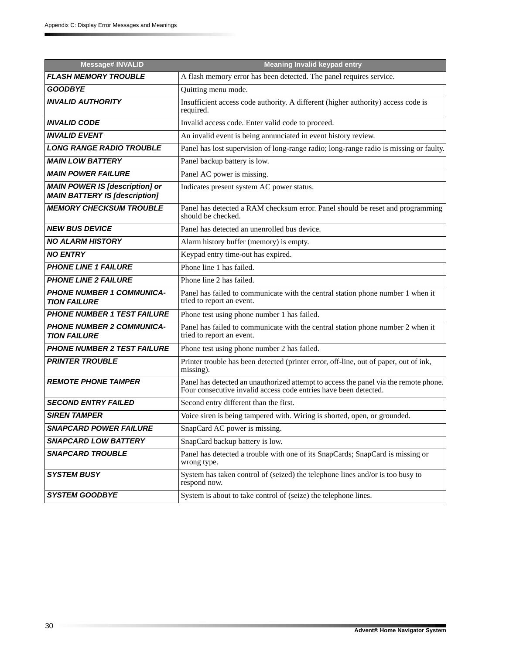| <b>Message# INVALID</b>                                                       | <b>Meaning Invalid keypad entry</b>                                                                                                                      |  |  |  |  |
|-------------------------------------------------------------------------------|----------------------------------------------------------------------------------------------------------------------------------------------------------|--|--|--|--|
| <b>FLASH MEMORY TROUBLE</b>                                                   | A flash memory error has been detected. The panel requires service.                                                                                      |  |  |  |  |
| <b>GOODBYE</b>                                                                | Quitting menu mode.                                                                                                                                      |  |  |  |  |
| <b>INVALID AUTHORITY</b>                                                      | Insufficient access code authority. A different (higher authority) access code is<br>required.                                                           |  |  |  |  |
| <b>INVALID CODE</b>                                                           | Invalid access code. Enter valid code to proceed.                                                                                                        |  |  |  |  |
| <b>INVALID EVENT</b>                                                          | An invalid event is being annunciated in event history review.                                                                                           |  |  |  |  |
| <b>LONG RANGE RADIO TROUBLE</b>                                               | Panel has lost supervision of long-range radio; long-range radio is missing or faulty.                                                                   |  |  |  |  |
| <b>MAIN LOW BATTERY</b>                                                       | Panel backup battery is low.                                                                                                                             |  |  |  |  |
| <b>MAIN POWER FAILURE</b>                                                     | Panel AC power is missing.                                                                                                                               |  |  |  |  |
| <b>MAIN POWER IS [description] or</b><br><b>MAIN BATTERY IS [description]</b> | Indicates present system AC power status.                                                                                                                |  |  |  |  |
| <b>MEMORY CHECKSUM TROUBLE</b>                                                | Panel has detected a RAM checksum error. Panel should be reset and programming<br>should be checked.                                                     |  |  |  |  |
| <b>NEW BUS DEVICE</b>                                                         | Panel has detected an unenrolled bus device.                                                                                                             |  |  |  |  |
| <b>NO ALARM HISTORY</b>                                                       | Alarm history buffer (memory) is empty.                                                                                                                  |  |  |  |  |
| <b>NO ENTRY</b>                                                               | Keypad entry time-out has expired.                                                                                                                       |  |  |  |  |
| <b>PHONE LINE 1 FAILURE</b>                                                   | Phone line 1 has failed.                                                                                                                                 |  |  |  |  |
| <b>PHONE LINE 2 FAILURE</b>                                                   | Phone line 2 has failed.                                                                                                                                 |  |  |  |  |
| <b>PHONE NUMBER 1 COMMUNICA-</b><br><b>TION FAILURE</b>                       | Panel has failed to communicate with the central station phone number 1 when it<br>tried to report an event.                                             |  |  |  |  |
| <b>PHONE NUMBER 1 TEST FAILURE</b>                                            | Phone test using phone number 1 has failed.                                                                                                              |  |  |  |  |
| <b>PHONE NUMBER 2 COMMUNICA-</b><br><b>TION FAILURE</b>                       | Panel has failed to communicate with the central station phone number 2 when it<br>tried to report an event.                                             |  |  |  |  |
| <b>PHONE NUMBER 2 TEST FAILURE</b>                                            | Phone test using phone number 2 has failed.                                                                                                              |  |  |  |  |
| <b>PRINTER TROUBLE</b>                                                        | Printer trouble has been detected (printer error, off-line, out of paper, out of ink,<br>missing).                                                       |  |  |  |  |
| <b>REMOTE PHONE TAMPER</b>                                                    | Panel has detected an unauthorized attempt to access the panel via the remote phone.<br>Four consecutive invalid access code entries have been detected. |  |  |  |  |
| <b>SECOND ENTRY FAILED</b>                                                    | Second entry different than the first.                                                                                                                   |  |  |  |  |
| <b>SIREN TAMPER</b>                                                           | Voice siren is being tampered with. Wiring is shorted, open, or grounded.                                                                                |  |  |  |  |
| <b>SNAPCARD POWER FAILURE</b>                                                 | SnapCard AC power is missing.                                                                                                                            |  |  |  |  |
| <b>SNAPCARD LOW BATTERY</b>                                                   | SnapCard backup battery is low.                                                                                                                          |  |  |  |  |
| <b>SNAPCARD TROUBLE</b>                                                       | Panel has detected a trouble with one of its SnapCards; SnapCard is missing or<br>wrong type.                                                            |  |  |  |  |
| <b>SYSTEM BUSY</b>                                                            | System has taken control of (seized) the telephone lines and/or is too busy to<br>respond now.                                                           |  |  |  |  |
| <b>SYSTEM GOODBYE</b>                                                         | System is about to take control of (seize) the telephone lines.                                                                                          |  |  |  |  |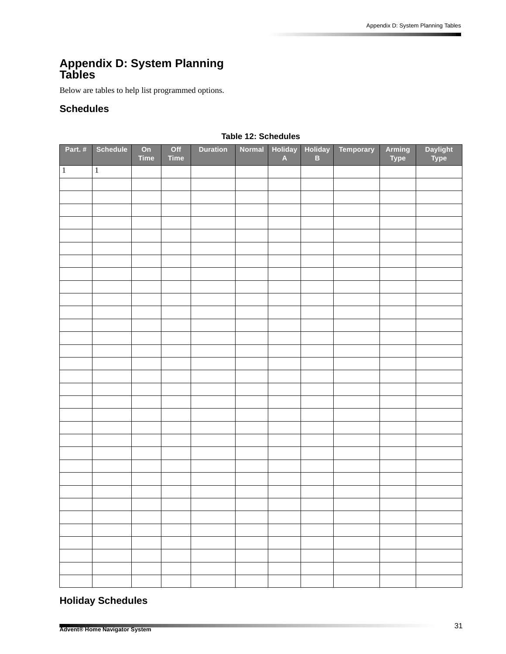## **Appendix D: System Planning Tables**

Below are tables to help list programmed options.

### **Schedules**

| Part.#       | <b>Schedule</b> | On<br><b>Time</b> | Off<br><b>Time</b> | <b>Duration</b> | Normal | <b>Holiday</b><br>$\blacktriangle$ | <b>Holiday</b><br>$\mathbf{B}$ | Temporary | Arming<br><b>Type</b> | Daylight<br>Type |
|--------------|-----------------|-------------------|--------------------|-----------------|--------|------------------------------------|--------------------------------|-----------|-----------------------|------------------|
| $\mathbf{1}$ | $\mathbf 1$     |                   |                    |                 |        |                                    |                                |           |                       |                  |
|              |                 |                   |                    |                 |        |                                    |                                |           |                       |                  |
|              |                 |                   |                    |                 |        |                                    |                                |           |                       |                  |
|              |                 |                   |                    |                 |        |                                    |                                |           |                       |                  |
|              |                 |                   |                    |                 |        |                                    |                                |           |                       |                  |
|              |                 |                   |                    |                 |        |                                    |                                |           |                       |                  |
|              |                 |                   |                    |                 |        |                                    |                                |           |                       |                  |
|              |                 |                   |                    |                 |        |                                    |                                |           |                       |                  |
|              |                 |                   |                    |                 |        |                                    |                                |           |                       |                  |
|              |                 |                   |                    |                 |        |                                    |                                |           |                       |                  |
|              |                 |                   |                    |                 |        |                                    |                                |           |                       |                  |
|              |                 |                   |                    |                 |        |                                    |                                |           |                       |                  |
|              |                 |                   |                    |                 |        |                                    |                                |           |                       |                  |
|              |                 |                   |                    |                 |        |                                    |                                |           |                       |                  |
|              |                 |                   |                    |                 |        |                                    |                                |           |                       |                  |
|              |                 |                   |                    |                 |        |                                    |                                |           |                       |                  |
|              |                 |                   |                    |                 |        |                                    |                                |           |                       |                  |
|              |                 |                   |                    |                 |        |                                    |                                |           |                       |                  |
|              |                 |                   |                    |                 |        |                                    |                                |           |                       |                  |
|              |                 |                   |                    |                 |        |                                    |                                |           |                       |                  |
|              |                 |                   |                    |                 |        |                                    |                                |           |                       |                  |
|              |                 |                   |                    |                 |        |                                    |                                |           |                       |                  |
|              |                 |                   |                    |                 |        |                                    |                                |           |                       |                  |
|              |                 |                   |                    |                 |        |                                    |                                |           |                       |                  |
|              |                 |                   |                    |                 |        |                                    |                                |           |                       |                  |
|              |                 |                   |                    |                 |        |                                    |                                |           |                       |                  |
|              |                 |                   |                    |                 |        |                                    |                                |           |                       |                  |
|              |                 |                   |                    |                 |        |                                    |                                |           |                       |                  |
|              |                 |                   |                    |                 |        |                                    |                                |           |                       |                  |
|              |                 |                   |                    |                 |        |                                    |                                |           |                       |                  |
|              |                 |                   |                    |                 |        |                                    |                                |           |                       |                  |
|              |                 |                   |                    |                 |        |                                    |                                |           |                       |                  |
|              |                 |                   |                    |                 |        |                                    |                                |           |                       |                  |

### **Table 12: Schedules**

## **Holiday Schedules**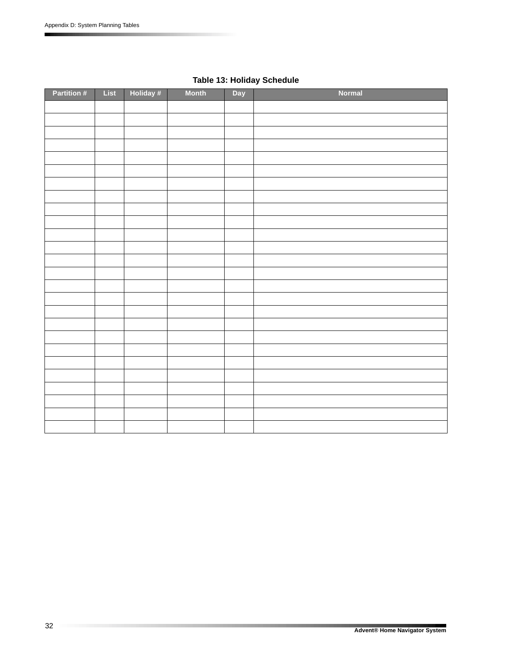| Partition # | List | Holiday # | <b>Month</b> | Day | Normal |
|-------------|------|-----------|--------------|-----|--------|
|             |      |           |              |     |        |
|             |      |           |              |     |        |
|             |      |           |              |     |        |
|             |      |           |              |     |        |
|             |      |           |              |     |        |
|             |      |           |              |     |        |
|             |      |           |              |     |        |
|             |      |           |              |     |        |
|             |      |           |              |     |        |
|             |      |           |              |     |        |
|             |      |           |              |     |        |
|             |      |           |              |     |        |
|             |      |           |              |     |        |
|             |      |           |              |     |        |
|             |      |           |              |     |        |
|             |      |           |              |     |        |
|             |      |           |              |     |        |
|             |      |           |              |     |        |
|             |      |           |              |     |        |
|             |      |           |              |     |        |
|             |      |           |              |     |        |
|             |      |           |              |     |        |
|             |      |           |              |     |        |
|             |      |           |              |     |        |
|             |      |           |              |     |        |
|             |      |           |              |     |        |

## **Table 13: Holiday Schedule**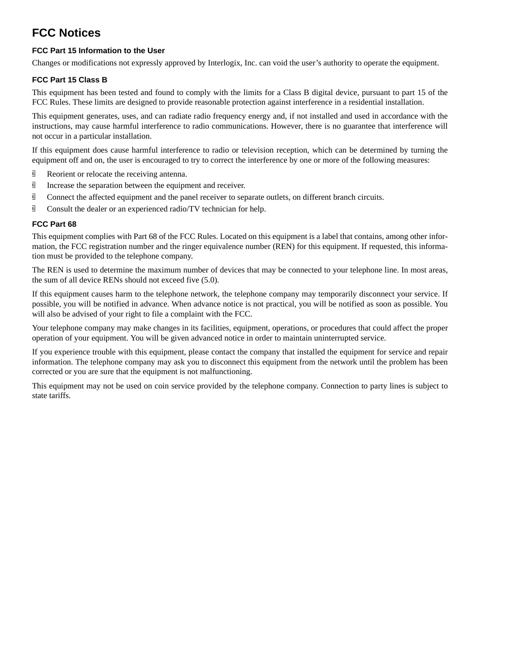## **FCC Notices**

### **FCC Part 15 Information to the User**

Changes or modifications not expressly approved by Interlogix, Inc. can void the user's authority to operate the equipment.

### **FCC Part 15 Class B**

This equipment has been tested and found to comply with the limits for a Class B digital device, pursuant to part 15 of the FCC Rules. These limits are designed to provide reasonable protection against interference in a residential installation.

This equipment generates, uses, and can radiate radio frequency energy and, if not installed and used in accordance with the instructions, may cause harmful interference to radio communications. However, there is no guarantee that interference will not occur in a particular installation.

If this equipment does cause harmful interference to radio or television reception, which can be determined by turning the equipment off and on, the user is encouraged to try to correct the interference by one or more of the following measures:

- <sup> $\overline{6}$ </sup> Reorient or relocate the receiving antenna.
- $\overline{9}$  Increase the separation between the equipment and receiver.
- **I** Connect the affected equipment and the panel receiver to separate outlets, on different branch circuits.
- $\overline{\mathbb{G}}$  Consult the dealer or an experienced radio/TV technician for help.

### **FCC Part 68**

This equipment complies with Part 68 of the FCC Rules. Located on this equipment is a label that contains, among other information, the FCC registration number and the ringer equivalence number (REN) for this equipment. If requested, this information must be provided to the telephone company.

The REN is used to determine the maximum number of devices that may be connected to your telephone line. In most areas, the sum of all device RENs should not exceed five (5.0).

If this equipment causes harm to the telephone network, the telephone company may temporarily disconnect your service. If possible, you will be notified in advance. When advance notice is not practical, you will be notified as soon as possible. You will also be advised of your right to file a complaint with the FCC.

Your telephone company may make changes in its facilities, equipment, operations, or procedures that could affect the proper operation of your equipment. You will be given advanced notice in order to maintain uninterrupted service.

If you experience trouble with this equipment, please contact the company that installed the equipment for service and repair information. The telephone company may ask you to disconnect this equipment from the network until the problem has been corrected or you are sure that the equipment is not malfunctioning.

This equipment may not be used on coin service provided by the telephone company. Connection to party lines is subject to state tariffs.